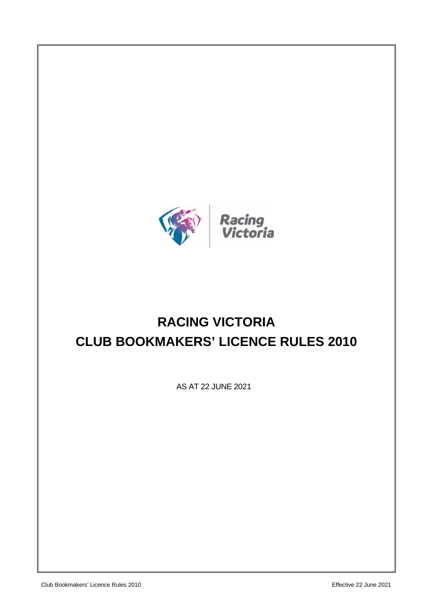

# **RACING VICTORIA CLUB BOOKMAKERS' LICENCE RULES 2010**

AS AT 22 JUNE 2021

Club Bookmakers' Licence Rules 2010 Effective 22 June 2021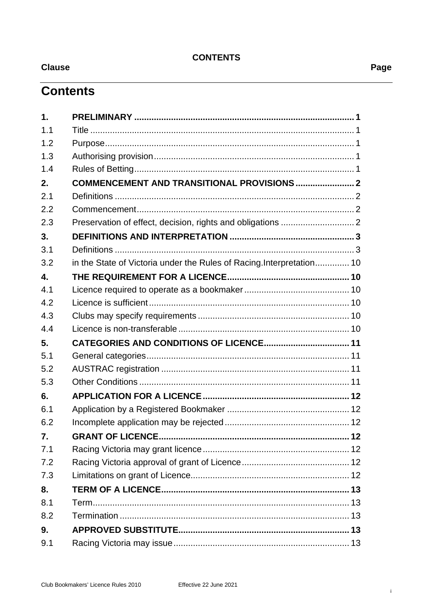## **CONTENTS**

**Clause** 

## **Contents**

| 1.               |                                                                      |       |
|------------------|----------------------------------------------------------------------|-------|
| 1.1              |                                                                      |       |
| 1.2              |                                                                      |       |
| 1.3              |                                                                      |       |
| 1.4              |                                                                      |       |
| 2.               | COMMENCEMENT AND TRANSITIONAL PROVISIONS  2                          |       |
| 2.1              |                                                                      |       |
| 2.2              |                                                                      |       |
| 2.3              |                                                                      |       |
| 3.               |                                                                      |       |
| 3.1              |                                                                      |       |
| 3.2              | in the State of Victoria under the Rules of Racing.Interpretation 10 |       |
| $\overline{4}$ . |                                                                      |       |
| 4.1              |                                                                      |       |
| 4.2              |                                                                      |       |
| 4.3              |                                                                      |       |
| 4.4              |                                                                      |       |
| 5.               |                                                                      |       |
| 5.1              |                                                                      |       |
| 5.2              |                                                                      |       |
| 5.3              |                                                                      |       |
| 6.               |                                                                      |       |
| 6.1              |                                                                      |       |
| 6.2              |                                                                      |       |
| 7.               | <b>GRANT OF LICENCE.</b>                                             | …… 12 |
| 7.1              |                                                                      |       |
| 7.2              |                                                                      |       |
| 7.3              |                                                                      |       |
| 8.               |                                                                      |       |
| 8.1              |                                                                      |       |
| 8.2              |                                                                      |       |
| 9.               |                                                                      |       |
| 9.1              |                                                                      |       |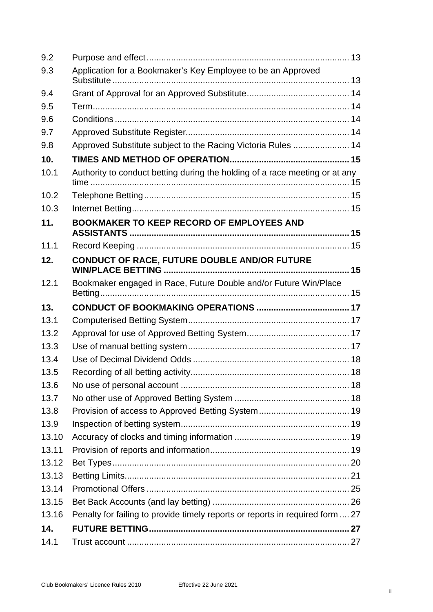| 9.2   |                                                                               |  |  |
|-------|-------------------------------------------------------------------------------|--|--|
| 9.3   | Application for a Bookmaker's Key Employee to be an Approved                  |  |  |
| 9.4   |                                                                               |  |  |
| 9.5   |                                                                               |  |  |
| 9.6   |                                                                               |  |  |
| 9.7   |                                                                               |  |  |
| 9.8   | Approved Substitute subject to the Racing Victoria Rules  14                  |  |  |
| 10.   |                                                                               |  |  |
| 10.1  | Authority to conduct betting during the holding of a race meeting or at any   |  |  |
| 10.2  |                                                                               |  |  |
| 10.3  |                                                                               |  |  |
| 11.   | <b>BOOKMAKER TO KEEP RECORD OF EMPLOYEES AND</b>                              |  |  |
| 11.1  |                                                                               |  |  |
| 12.   | CONDUCT OF RACE, FUTURE DOUBLE AND/OR FUTURE                                  |  |  |
| 12.1  | Bookmaker engaged in Race, Future Double and/or Future Win/Place              |  |  |
| 13.   |                                                                               |  |  |
| 13.1  |                                                                               |  |  |
| 13.2  |                                                                               |  |  |
| 13.3  |                                                                               |  |  |
| 13.4  |                                                                               |  |  |
| 13.5  |                                                                               |  |  |
| 13.6  |                                                                               |  |  |
| 13.7  |                                                                               |  |  |
| 13.8  |                                                                               |  |  |
| 13.9  |                                                                               |  |  |
| 13.10 |                                                                               |  |  |
| 13.11 |                                                                               |  |  |
| 13.12 |                                                                               |  |  |
| 13.13 |                                                                               |  |  |
| 13.14 |                                                                               |  |  |
| 13.15 |                                                                               |  |  |
| 13.16 | Penalty for failing to provide timely reports or reports in required form  27 |  |  |
|       |                                                                               |  |  |
| 14.   |                                                                               |  |  |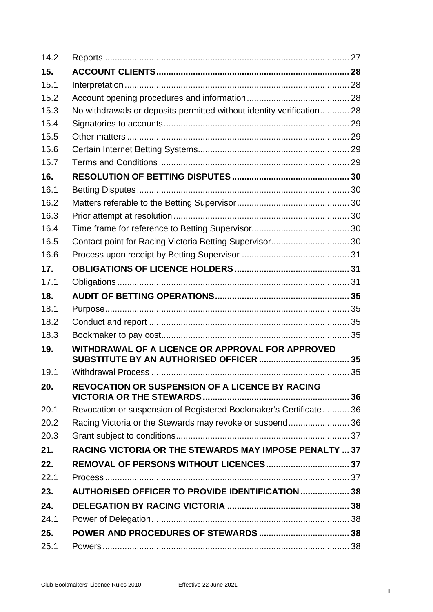| 14.2 |                                                                      |  |  |
|------|----------------------------------------------------------------------|--|--|
| 15.  |                                                                      |  |  |
| 15.1 |                                                                      |  |  |
| 15.2 |                                                                      |  |  |
| 15.3 | No withdrawals or deposits permitted without identity verification28 |  |  |
| 15.4 |                                                                      |  |  |
| 15.5 |                                                                      |  |  |
| 15.6 |                                                                      |  |  |
| 15.7 |                                                                      |  |  |
| 16.  |                                                                      |  |  |
| 16.1 |                                                                      |  |  |
| 16.2 |                                                                      |  |  |
| 16.3 |                                                                      |  |  |
| 16.4 |                                                                      |  |  |
| 16.5 | Contact point for Racing Victoria Betting Supervisor 30              |  |  |
| 16.6 |                                                                      |  |  |
| 17.  |                                                                      |  |  |
| 17.1 |                                                                      |  |  |
| 18.  |                                                                      |  |  |
| 18.1 |                                                                      |  |  |
| 18.2 |                                                                      |  |  |
| 18.3 |                                                                      |  |  |
| 19.  | WITHDRAWAL OF A LICENCE OR APPROVAL FOR APPROVED                     |  |  |
| 19.1 |                                                                      |  |  |
| 20.  | <b>REVOCATION OR SUSPENSION OF A LICENCE BY RACING</b>               |  |  |
| 20.1 | Revocation or suspension of Registered Bookmaker's Certificate 36    |  |  |
| 20.2 | Racing Victoria or the Stewards may revoke or suspend36              |  |  |
| 20.3 |                                                                      |  |  |
| 21.  | RACING VICTORIA OR THE STEWARDS MAY IMPOSE PENALTY  37               |  |  |
| 22.  |                                                                      |  |  |
| 22.1 |                                                                      |  |  |
| 23.  | <b>AUTHORISED OFFICER TO PROVIDE IDENTIFICATION  38</b>              |  |  |
| 24.  |                                                                      |  |  |
|      |                                                                      |  |  |
| 24.1 |                                                                      |  |  |
| 25.  |                                                                      |  |  |
| 25.1 |                                                                      |  |  |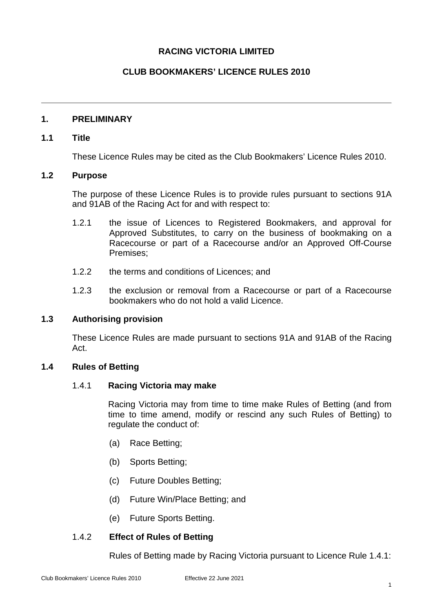## **RACING VICTORIA LIMITED**

## **CLUB BOOKMAKERS' LICENCE RULES 2010**

#### <span id="page-5-0"></span>**1. PRELIMINARY**

#### <span id="page-5-1"></span>**1.1 Title**

These Licence Rules may be cited as the Club Bookmakers' Licence Rules 2010.

#### <span id="page-5-2"></span>**1.2 Purpose**

The purpose of these Licence Rules is to provide rules pursuant to sections 91A and 91AB of the Racing Act for and with respect to:

- 1.2.1 the issue of Licences to Registered Bookmakers, and approval for Approved Substitutes, to carry on the business of bookmaking on a Racecourse or part of a Racecourse and/or an Approved Off-Course Premises;
- 1.2.2 the terms and conditions of Licences; and
- 1.2.3 the exclusion or removal from a Racecourse or part of a Racecourse bookmakers who do not hold a valid Licence.

#### <span id="page-5-3"></span>**1.3 Authorising provision**

These Licence Rules are made pursuant to sections 91A and 91AB of the Racing Act.

## <span id="page-5-5"></span><span id="page-5-4"></span>**1.4 Rules of Betting**

## 1.4.1 **Racing Victoria may make**

Racing Victoria may from time to time make Rules of Betting (and from time to time amend, modify or rescind any such Rules of Betting) to regulate the conduct of:

- (a) Race Betting;
- (b) Sports Betting;
- (c) Future Doubles Betting;
- (d) Future Win/Place Betting; and
- (e) Future Sports Betting.

## 1.4.2 **Effect of Rules of Betting**

Rules of Betting made by Racing Victoria pursuant to Licence Rule [1.4.1:](#page-5-5)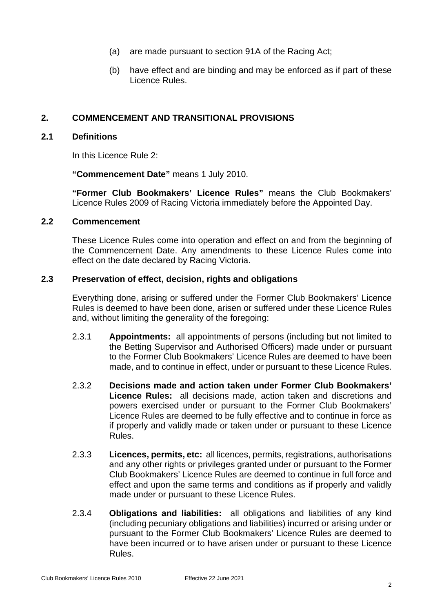- (a) are made pursuant to section 91A of the Racing Act;
- (b) have effect and are binding and may be enforced as if part of these Licence Rules.

## <span id="page-6-4"></span><span id="page-6-0"></span>**2. COMMENCEMENT AND TRANSITIONAL PROVISIONS**

#### <span id="page-6-1"></span>**2.1 Definitions**

In this Licence Rule [2:](#page-6-4)

**"Commencement Date"** means 1 July 2010.

**"Former Club Bookmakers' Licence Rules"** means the Club Bookmakers' Licence Rules 2009 of Racing Victoria immediately before the Appointed Day.

## <span id="page-6-2"></span>**2.2 Commencement**

These Licence Rules come into operation and effect on and from the beginning of the Commencement Date. Any amendments to these Licence Rules come into effect on the date declared by Racing Victoria.

## <span id="page-6-3"></span>**2.3 Preservation of effect, decision, rights and obligations**

Everything done, arising or suffered under the Former Club Bookmakers' Licence Rules is deemed to have been done, arisen or suffered under these Licence Rules and, without limiting the generality of the foregoing:

- 2.3.1 **Appointments:** all appointments of persons (including but not limited to the Betting Supervisor and Authorised Officers) made under or pursuant to the Former Club Bookmakers' Licence Rules are deemed to have been made, and to continue in effect, under or pursuant to these Licence Rules.
- 2.3.2 **Decisions made and action taken under Former Club Bookmakers' Licence Rules:** all decisions made, action taken and discretions and powers exercised under or pursuant to the Former Club Bookmakers' Licence Rules are deemed to be fully effective and to continue in force as if properly and validly made or taken under or pursuant to these Licence Rules.
- 2.3.3 **Licences, permits, etc:** all licences, permits, registrations, authorisations and any other rights or privileges granted under or pursuant to the Former Club Bookmakers' Licence Rules are deemed to continue in full force and effect and upon the same terms and conditions as if properly and validly made under or pursuant to these Licence Rules.
- 2.3.4 **Obligations and liabilities:** all obligations and liabilities of any kind (including pecuniary obligations and liabilities) incurred or arising under or pursuant to the Former Club Bookmakers' Licence Rules are deemed to have been incurred or to have arisen under or pursuant to these Licence Rules.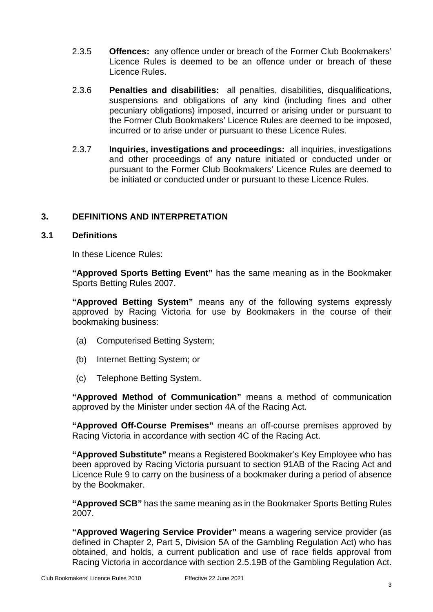- 2.3.5 **Offences:** any offence under or breach of the Former Club Bookmakers' Licence Rules is deemed to be an offence under or breach of these Licence Rules.
- 2.3.6 **Penalties and disabilities:** all penalties, disabilities, disqualifications, suspensions and obligations of any kind (including fines and other pecuniary obligations) imposed, incurred or arising under or pursuant to the Former Club Bookmakers' Licence Rules are deemed to be imposed, incurred or to arise under or pursuant to these Licence Rules.
- 2.3.7 **Inquiries, investigations and proceedings:** all inquiries, investigations and other proceedings of any nature initiated or conducted under or pursuant to the Former Club Bookmakers' Licence Rules are deemed to be initiated or conducted under or pursuant to these Licence Rules.

## <span id="page-7-0"></span>**3. DEFINITIONS AND INTERPRETATION**

## <span id="page-7-1"></span>**3.1 Definitions**

In these Licence Rules:

**"Approved Sports Betting Event"** has the same meaning as in the Bookmaker Sports Betting Rules 2007.

**"Approved Betting System"** means any of the following systems expressly approved by Racing Victoria for use by Bookmakers in the course of their bookmaking business:

- (a) Computerised Betting System;
- (b) Internet Betting System; or
- (c) Telephone Betting System.

**"Approved Method of Communication"** means a method of communication approved by the Minister under section 4A of the Racing Act.

**"Approved Off-Course Premises"** means an off-course premises approved by Racing Victoria in accordance with section 4C of the Racing Act.

**"Approved Substitute"** means a Registered Bookmaker's Key Employee who has been approved by Racing Victoria pursuant to section 91AB of the Racing Act and Licence Rule [9](#page-17-7) to carry on the business of a bookmaker during a period of absence by the Bookmaker.

**"Approved SCB"** has the same meaning as in the Bookmaker Sports Betting Rules 2007.

**"Approved Wagering Service Provider"** means a wagering service provider (as defined in Chapter 2, Part 5, Division 5A of the Gambling Regulation Act) who has obtained, and holds, a current publication and use of race fields approval from Racing Victoria in accordance with section 2.5.19B of the Gambling Regulation Act.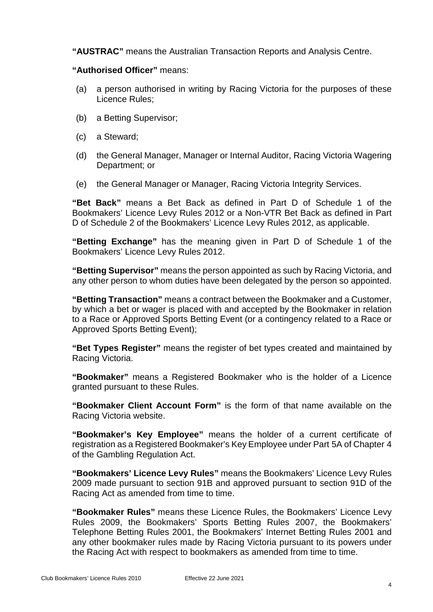**"AUSTRAC"** means the Australian Transaction Reports and Analysis Centre.

**"Authorised Officer"** means:

- (a) a person authorised in writing by Racing Victoria for the purposes of these Licence Rules;
- (b) a Betting Supervisor;
- (c) a Steward;
- (d) the General Manager, Manager or Internal Auditor, Racing Victoria Wagering Department; or
- (e) the General Manager or Manager, Racing Victoria Integrity Services.

**"Bet Back"** means a Bet Back as defined in Part D of Schedule 1 of the Bookmakers' Licence Levy Rules 2012 or a Non-VTR Bet Back as defined in Part D of Schedule 2 of the Bookmakers' Licence Levy Rules 2012, as applicable.

**"Betting Exchange"** has the meaning given in Part D of Schedule 1 of the Bookmakers' Licence Levy Rules 2012.

**"Betting Supervisor"** means the person appointed as such by Racing Victoria, and any other person to whom duties have been delegated by the person so appointed.

**"Betting Transaction"** means a contract between the Bookmaker and a Customer, by which a bet or wager is placed with and accepted by the Bookmaker in relation to a Race or Approved Sports Betting Event (or a contingency related to a Race or Approved Sports Betting Event);

**"Bet Types Register"** means the register of bet types created and maintained by Racing Victoria.

**"Bookmaker"** means a Registered Bookmaker who is the holder of a Licence granted pursuant to these Rules.

**"Bookmaker Client Account Form"** is the form of that name available on the Racing Victoria website.

**"Bookmaker's Key Employee"** means the holder of a current certificate of registration as a Registered Bookmaker's Key Employee under Part 5A of Chapter 4 of the Gambling Regulation Act.

**"Bookmakers' Licence Levy Rules"** means the Bookmakers' Licence Levy Rules 2009 made pursuant to section 91B and approved pursuant to section 91D of the Racing Act as amended from time to time.

**"Bookmaker Rules"** means these Licence Rules, the Bookmakers' Licence Levy Rules 2009, the Bookmakers' Sports Betting Rules 2007, the Bookmakers' Telephone Betting Rules 2001, the Bookmakers' Internet Betting Rules 2001 and any other bookmaker rules made by Racing Victoria pursuant to its powers under the Racing Act with respect to bookmakers as amended from time to time.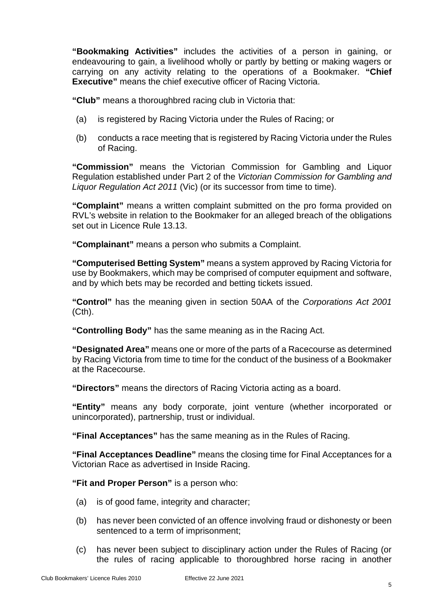**"Bookmaking Activities"** includes the activities of a person in gaining, or endeavouring to gain, a livelihood wholly or partly by betting or making wagers or carrying on any activity relating to the operations of a Bookmaker. **"Chief Executive"** means the chief executive officer of Racing Victoria.

**"Club"** means a thoroughbred racing club in Victoria that:

- (a) is registered by Racing Victoria under the Rules of Racing; or
- (b) conducts a race meeting that is registered by Racing Victoria under the Rules of Racing.

**"Commission"** means the Victorian Commission for Gambling and Liquor Regulation established under Part 2 of the *Victorian Commission for Gambling and Liquor Regulation Act 2011* (Vic) (or its successor from time to time).

**"Complaint"** means a written complaint submitted on the pro forma provided on RVL's website in relation to the Bookmaker for an alleged breach of the obligations set out in Licence Rule [13.13.](#page-25-0)

**"Complainant"** means a person who submits a Complaint.

**"Computerised Betting System"** means a system approved by Racing Victoria for use by Bookmakers, which may be comprised of computer equipment and software, and by which bets may be recorded and betting tickets issued.

**"Control"** has the meaning given in section 50AA of the *Corporations Act 2001* (Cth).

**"Controlling Body"** has the same meaning as in the Racing Act.

**"Designated Area"** means one or more of the parts of a Racecourse as determined by Racing Victoria from time to time for the conduct of the business of a Bookmaker at the Racecourse.

**"Directors"** means the directors of Racing Victoria acting as a board.

**"Entity"** means any body corporate, joint venture (whether incorporated or unincorporated), partnership, trust or individual.

**"Final Acceptances"** has the same meaning as in the Rules of Racing.

**"Final Acceptances Deadline"** means the closing time for Final Acceptances for a Victorian Race as advertised in Inside Racing.

**"Fit and Proper Person"** is a person who:

- (a) is of good fame, integrity and character;
- (b) has never been convicted of an offence involving fraud or dishonesty or been sentenced to a term of imprisonment;
- (c) has never been subject to disciplinary action under the Rules of Racing (or the rules of racing applicable to thoroughbred horse racing in another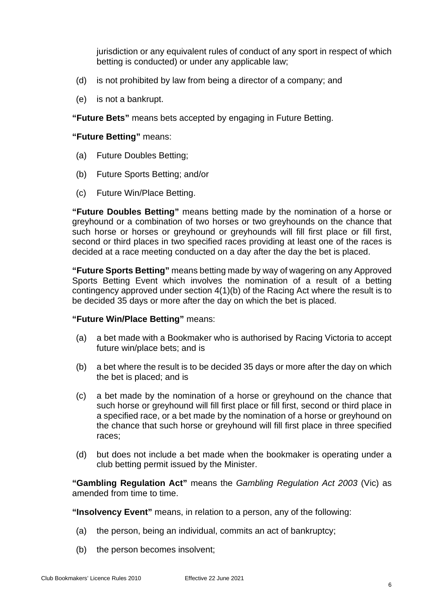jurisdiction or any equivalent rules of conduct of any sport in respect of which betting is conducted) or under any applicable law;

- (d) is not prohibited by law from being a director of a company; and
- (e) is not a bankrupt.

**"Future Bets"** means bets accepted by engaging in Future Betting.

**"Future Betting"** means:

- (a) Future Doubles Betting;
- (b) Future Sports Betting; and/or
- (c) Future Win/Place Betting.

**"Future Doubles Betting"** means betting made by the nomination of a horse or greyhound or a combination of two horses or two greyhounds on the chance that such horse or horses or greyhound or greyhounds will fill first place or fill first, second or third places in two specified races providing at least one of the races is decided at a race meeting conducted on a day after the day the bet is placed.

**"Future Sports Betting"** means betting made by way of wagering on any Approved Sports Betting Event which involves the nomination of a result of a betting contingency approved under section 4(1)(b) of the Racing Act where the result is to be decided 35 days or more after the day on which the bet is placed.

#### **"Future Win/Place Betting"** means:

- (a) a bet made with a Bookmaker who is authorised by Racing Victoria to accept future win/place bets; and is
- (b) a bet where the result is to be decided 35 days or more after the day on which the bet is placed; and is
- (c) a bet made by the nomination of a horse or greyhound on the chance that such horse or greyhound will fill first place or fill first, second or third place in a specified race, or a bet made by the nomination of a horse or greyhound on the chance that such horse or greyhound will fill first place in three specified races;
- (d) but does not include a bet made when the bookmaker is operating under a club betting permit issued by the Minister.

**"Gambling Regulation Act"** means the *Gambling Regulation Act 2003* (Vic) as amended from time to time.

**"Insolvency Event"** means, in relation to a person, any of the following:

- (a) the person, being an individual, commits an act of bankruptcy;
- (b) the person becomes insolvent;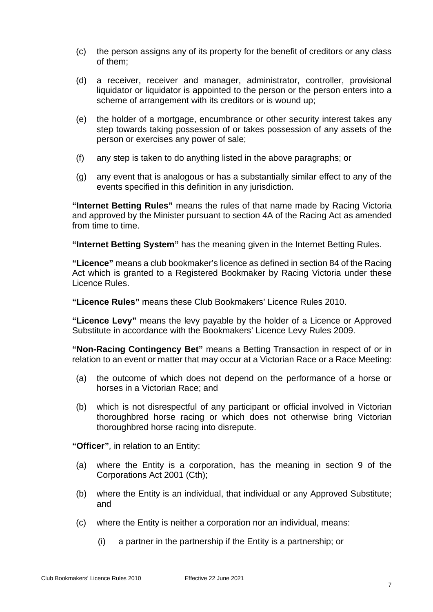- (c) the person assigns any of its property for the benefit of creditors or any class of them;
- (d) a receiver, receiver and manager, administrator, controller, provisional liquidator or liquidator is appointed to the person or the person enters into a scheme of arrangement with its creditors or is wound up;
- (e) the holder of a mortgage, encumbrance or other security interest takes any step towards taking possession of or takes possession of any assets of the person or exercises any power of sale;
- (f) any step is taken to do anything listed in the above paragraphs; or
- (g) any event that is analogous or has a substantially similar effect to any of the events specified in this definition in any jurisdiction.

**"Internet Betting Rules"** means the rules of that name made by Racing Victoria and approved by the Minister pursuant to section 4A of the Racing Act as amended from time to time.

**"Internet Betting System"** has the meaning given in the Internet Betting Rules.

**"Licence"** means a club bookmaker's licence as defined in section 84 of the Racing Act which is granted to a Registered Bookmaker by Racing Victoria under these Licence Rules.

**"Licence Rules"** means these Club Bookmakers' Licence Rules 2010.

**"Licence Levy"** means the levy payable by the holder of a Licence or Approved Substitute in accordance with the Bookmakers' Licence Levy Rules 2009.

**"Non-Racing Contingency Bet"** means a Betting Transaction in respect of or in relation to an event or matter that may occur at a Victorian Race or a Race Meeting:

- (a) the outcome of which does not depend on the performance of a horse or horses in a Victorian Race; and
- (b) which is not disrespectful of any participant or official involved in Victorian thoroughbred horse racing or which does not otherwise bring Victorian thoroughbred horse racing into disrepute.

**"Officer"**, in relation to an Entity:

- (a) where the Entity is a corporation, has the meaning in section 9 of the Corporations Act 2001 (Cth);
- (b) where the Entity is an individual, that individual or any Approved Substitute; and
- (c) where the Entity is neither a corporation nor an individual, means:
	- (i) a partner in the partnership if the Entity is a partnership; or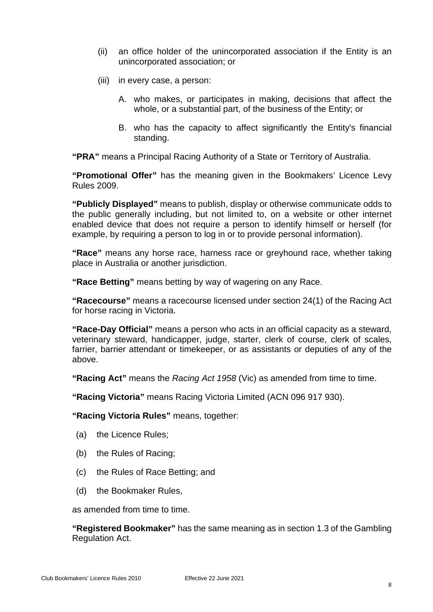- (ii) an office holder of the unincorporated association if the Entity is an unincorporated association; or
- (iii) in every case, a person:
	- A. who makes, or participates in making, decisions that affect the whole, or a substantial part, of the business of the Entity; or
	- B. who has the capacity to affect significantly the Entity's financial standing.

**"PRA"** means a Principal Racing Authority of a State or Territory of Australia.

**"Promotional Offer"** has the meaning given in the Bookmakers' Licence Levy Rules 2009.

**"Publicly Displayed"** means to publish, display or otherwise communicate odds to the public generally including, but not limited to, on a website or other internet enabled device that does not require a person to identify himself or herself (for example, by requiring a person to log in or to provide personal information).

**"Race"** means any horse race, harness race or greyhound race, whether taking place in Australia or another jurisdiction.

**"Race Betting"** means betting by way of wagering on any Race.

**"Racecourse"** means a racecourse licensed under section 24(1) of the Racing Act for horse racing in Victoria.

**"Race-Day Official"** means a person who acts in an official capacity as a steward, veterinary steward, handicapper, judge, starter, clerk of course, clerk of scales, farrier, barrier attendant or timekeeper, or as assistants or deputies of any of the above.

**"Racing Act"** means the *Racing Act 1958* (Vic) as amended from time to time.

**"Racing Victoria"** means Racing Victoria Limited (ACN 096 917 930).

**"Racing Victoria Rules"** means, together:

- (a) the Licence Rules;
- (b) the Rules of Racing;
- (c) the Rules of Race Betting; and
- (d) the Bookmaker Rules,

as amended from time to time.

**"Registered Bookmaker"** has the same meaning as in section 1.3 of the Gambling Regulation Act.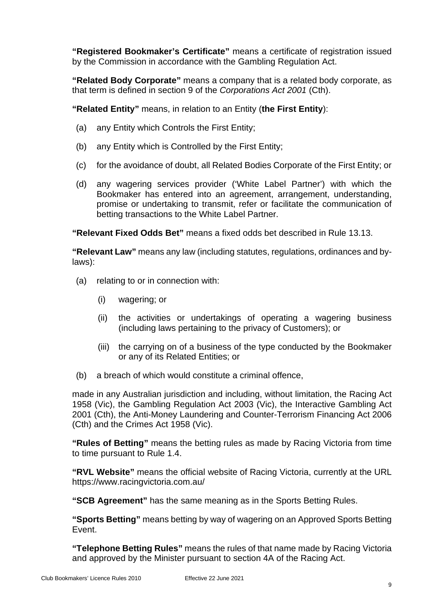**"Registered Bookmaker's Certificate"** means a certificate of registration issued by the Commission in accordance with the Gambling Regulation Act.

**"Related Body Corporate"** means a company that is a related body corporate, as that term is defined in section 9 of the *Corporations Act 2001* (Cth).

**"Related Entity"** means, in relation to an Entity (**the First Entity**):

- (a) any Entity which Controls the First Entity;
- (b) any Entity which is Controlled by the First Entity;
- (c) for the avoidance of doubt, all Related Bodies Corporate of the First Entity; or
- (d) any wagering services provider ('White Label Partner') with which the Bookmaker has entered into an agreement, arrangement, understanding, promise or undertaking to transmit, refer or facilitate the communication of betting transactions to the White Label Partner.

**"Relevant Fixed Odds Bet"** means a fixed odds bet described in Rule [13.13.](#page-25-0)

**"Relevant Law"** means any law (including statutes, regulations, ordinances and bylaws):

- (a) relating to or in connection with:
	- (i) wagering; or
	- (ii) the activities or undertakings of operating a wagering business (including laws pertaining to the privacy of Customers); or
	- (iii) the carrying on of a business of the type conducted by the Bookmaker or any of its Related Entities; or
- (b) a breach of which would constitute a criminal offence,

made in any Australian jurisdiction and including, without limitation, the Racing Act 1958 (Vic), the Gambling Regulation Act 2003 (Vic), the Interactive Gambling Act 2001 (Cth), the Anti-Money Laundering and Counter-Terrorism Financing Act 2006 (Cth) and the Crimes Act 1958 (Vic).

**"Rules of Betting"** means the betting rules as made by Racing Victoria from time to time pursuant to Rule [1.4.](#page-5-4)

**"RVL Website"** means the official website of Racing Victoria, currently at the URL https://www.racingvictoria.com.au/

**"SCB Agreement"** has the same meaning as in the Sports Betting Rules.

**"Sports Betting"** means betting by way of wagering on an Approved Sports Betting Event.

**"Telephone Betting Rules"** means the rules of that name made by Racing Victoria and approved by the Minister pursuant to section 4A of the Racing Act.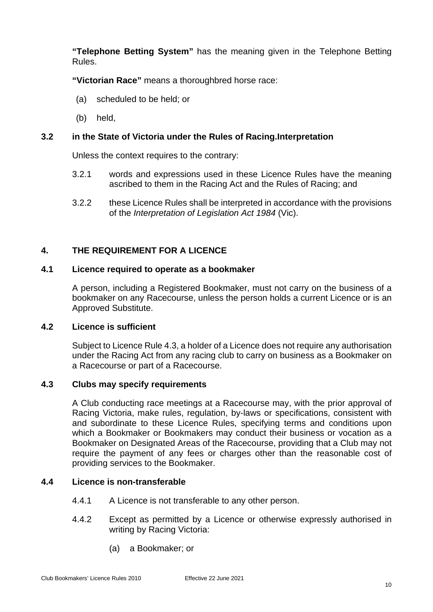**"Telephone Betting System"** has the meaning given in the Telephone Betting Rules.

**"Victorian Race"** means a thoroughbred horse race:

- (a) scheduled to be held; or
- (b) held,

## <span id="page-14-0"></span>**3.2 in the State of Victoria under the Rules of Racing.Interpretation**

Unless the context requires to the contrary:

- 3.2.1 words and expressions used in these Licence Rules have the meaning ascribed to them in the Racing Act and the Rules of Racing; and
- 3.2.2 these Licence Rules shall be interpreted in accordance with the provisions of the *Interpretation of Legislation Act 1984* (Vic).

## <span id="page-14-1"></span>**4. THE REQUIREMENT FOR A LICENCE**

## <span id="page-14-2"></span>**4.1 Licence required to operate as a bookmaker**

A person, including a Registered Bookmaker, must not carry on the business of a bookmaker on any Racecourse, unless the person holds a current Licence or is an Approved Substitute.

## <span id="page-14-3"></span>**4.2 Licence is sufficient**

Subject to Licence Rule [4.3,](#page-14-4) a holder of a Licence does not require any authorisation under the Racing Act from any racing club to carry on business as a Bookmaker on a Racecourse or part of a Racecourse.

#### <span id="page-14-4"></span>**4.3 Clubs may specify requirements**

A Club conducting race meetings at a Racecourse may, with the prior approval of Racing Victoria, make rules, regulation, by-laws or specifications, consistent with and subordinate to these Licence Rules, specifying terms and conditions upon which a Bookmaker or Bookmakers may conduct their business or vocation as a Bookmaker on Designated Areas of the Racecourse, providing that a Club may not require the payment of any fees or charges other than the reasonable cost of providing services to the Bookmaker.

## <span id="page-14-5"></span>**4.4 Licence is non-transferable**

- 4.4.1 A Licence is not transferable to any other person.
- 4.4.2 Except as permitted by a Licence or otherwise expressly authorised in writing by Racing Victoria:
	- (a) a Bookmaker; or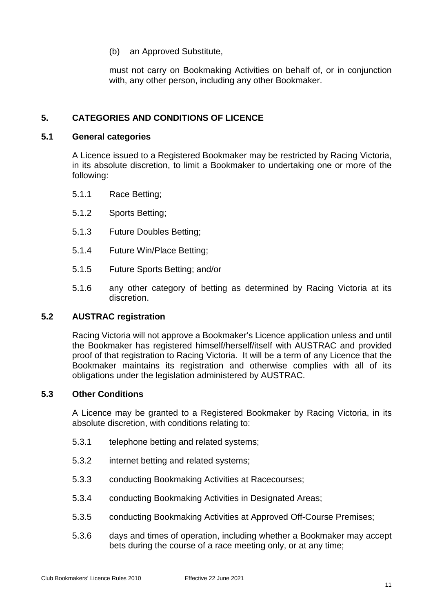(b) an Approved Substitute,

must not carry on Bookmaking Activities on behalf of, or in conjunction with, any other person, including any other Bookmaker.

## <span id="page-15-0"></span>**5. CATEGORIES AND CONDITIONS OF LICENCE**

#### <span id="page-15-1"></span>**5.1 General categories**

A Licence issued to a Registered Bookmaker may be restricted by Racing Victoria, in its absolute discretion, to limit a Bookmaker to undertaking one or more of the following:

- 5.1.1 Race Betting;
- 5.1.2 Sports Betting;
- 5.1.3 Future Doubles Betting;
- 5.1.4 Future Win/Place Betting;
- 5.1.5 Future Sports Betting; and/or
- 5.1.6 any other category of betting as determined by Racing Victoria at its discretion.

#### <span id="page-15-2"></span>**5.2 AUSTRAC registration**

Racing Victoria will not approve a Bookmaker's Licence application unless and until the Bookmaker has registered himself/herself/itself with AUSTRAC and provided proof of that registration to Racing Victoria. It will be a term of any Licence that the Bookmaker maintains its registration and otherwise complies with all of its obligations under the legislation administered by AUSTRAC.

#### <span id="page-15-3"></span>**5.3 Other Conditions**

A Licence may be granted to a Registered Bookmaker by Racing Victoria, in its absolute discretion, with conditions relating to:

- 5.3.1 telephone betting and related systems;
- 5.3.2 internet betting and related systems;
- 5.3.3 conducting Bookmaking Activities at Racecourses;
- 5.3.4 conducting Bookmaking Activities in Designated Areas;
- 5.3.5 conducting Bookmaking Activities at Approved Off-Course Premises;
- 5.3.6 days and times of operation, including whether a Bookmaker may accept bets during the course of a race meeting only, or at any time;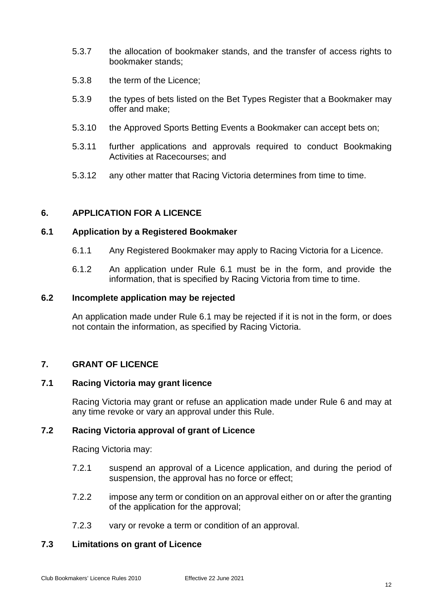- 5.3.7 the allocation of bookmaker stands, and the transfer of access rights to bookmaker stands;
- 5.3.8 the term of the Licence;
- 5.3.9 the types of bets listed on the Bet Types Register that a Bookmaker may offer and make;
- 5.3.10 the Approved Sports Betting Events a Bookmaker can accept bets on;
- 5.3.11 further applications and approvals required to conduct Bookmaking Activities at Racecourses; and
- 5.3.12 any other matter that Racing Victoria determines from time to time.

## <span id="page-16-7"></span><span id="page-16-0"></span>**6. APPLICATION FOR A LICENCE**

#### <span id="page-16-1"></span>**6.1 Application by a Registered Bookmaker**

- 6.1.1 Any Registered Bookmaker may apply to Racing Victoria for a Licence.
- 6.1.2 An application under Rule [6.1](#page-16-1) must be in the form, and provide the information, that is specified by Racing Victoria from time to time.

#### <span id="page-16-2"></span>**6.2 Incomplete application may be rejected**

An application made under Rule [6.1](#page-16-1) may be rejected if it is not in the form, or does not contain the information, as specified by Racing Victoria.

#### <span id="page-16-3"></span>**7. GRANT OF LICENCE**

#### <span id="page-16-4"></span>**7.1 Racing Victoria may grant licence**

Racing Victoria may grant or refuse an application made under Rule [6](#page-16-7) and may at any time revoke or vary an approval under this Rule.

#### <span id="page-16-5"></span>**7.2 Racing Victoria approval of grant of Licence**

Racing Victoria may:

- 7.2.1 suspend an approval of a Licence application, and during the period of suspension, the approval has no force or effect;
- 7.2.2 impose any term or condition on an approval either on or after the granting of the application for the approval;
- 7.2.3 vary or revoke a term or condition of an approval.

## <span id="page-16-6"></span>**7.3 Limitations on grant of Licence**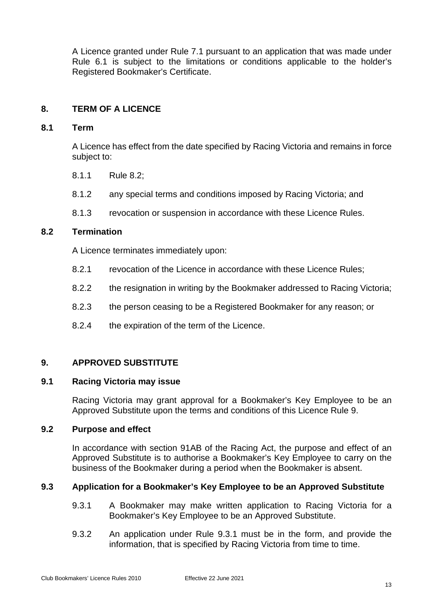A Licence granted under Rule [7.1](#page-16-4) pursuant to an application that was made under Rule [6.1](#page-16-1) is subject to the limitations or conditions applicable to the holder's Registered Bookmaker's Certificate.

## <span id="page-17-0"></span>**8. TERM OF A LICENCE**

#### <span id="page-17-1"></span>**8.1 Term**

A Licence has effect from the date specified by Racing Victoria and remains in force subject to:

- 8.1.1 Rule [8.2;](#page-17-2)
- 8.1.2 any special terms and conditions imposed by Racing Victoria; and
- 8.1.3 revocation or suspension in accordance with these Licence Rules.

## <span id="page-17-2"></span>**8.2 Termination**

A Licence terminates immediately upon:

- 8.2.1 revocation of the Licence in accordance with these Licence Rules;
- 8.2.2 the resignation in writing by the Bookmaker addressed to Racing Victoria;
- 8.2.3 the person ceasing to be a Registered Bookmaker for any reason; or
- 8.2.4 the expiration of the term of the Licence.

## <span id="page-17-7"></span><span id="page-17-3"></span>**9. APPROVED SUBSTITUTE**

#### <span id="page-17-4"></span>**9.1 Racing Victoria may issue**

Racing Victoria may grant approval for a Bookmaker's Key Employee to be an Approved Substitute upon the terms and conditions of this Licence Rule [9.](#page-17-7)

#### <span id="page-17-5"></span>**9.2 Purpose and effect**

In accordance with section 91AB of the Racing Act, the purpose and effect of an Approved Substitute is to authorise a Bookmaker's Key Employee to carry on the business of the Bookmaker during a period when the Bookmaker is absent.

#### <span id="page-17-8"></span><span id="page-17-6"></span>**9.3 Application for a Bookmaker's Key Employee to be an Approved Substitute**

- 9.3.1 A Bookmaker may make written application to Racing Victoria for a Bookmaker's Key Employee to be an Approved Substitute.
- 9.3.2 An application under Rule [9.3.1](#page-17-8) must be in the form, and provide the information, that is specified by Racing Victoria from time to time.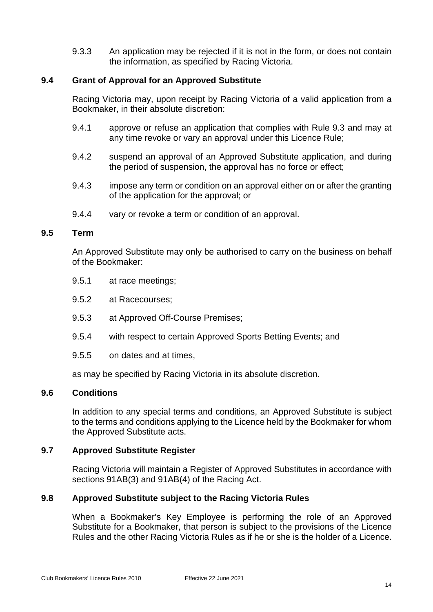9.3.3 An application may be rejected if it is not in the form, or does not contain the information, as specified by Racing Victoria.

## <span id="page-18-0"></span>**9.4 Grant of Approval for an Approved Substitute**

Racing Victoria may, upon receipt by Racing Victoria of a valid application from a Bookmaker, in their absolute discretion:

- 9.4.1 approve or refuse an application that complies with Rule [9.3](#page-17-6) and may at any time revoke or vary an approval under this Licence Rule;
- 9.4.2 suspend an approval of an Approved Substitute application, and during the period of suspension, the approval has no force or effect;
- 9.4.3 impose any term or condition on an approval either on or after the granting of the application for the approval; or
- 9.4.4 vary or revoke a term or condition of an approval.

## <span id="page-18-1"></span>**9.5 Term**

An Approved Substitute may only be authorised to carry on the business on behalf of the Bookmaker:

- 9.5.1 at race meetings;
- 9.5.2 at Racecourses;
- 9.5.3 at Approved Off-Course Premises;
- 9.5.4 with respect to certain Approved Sports Betting Events; and
- 9.5.5 on dates and at times,

as may be specified by Racing Victoria in its absolute discretion.

#### <span id="page-18-2"></span>**9.6 Conditions**

In addition to any special terms and conditions, an Approved Substitute is subject to the terms and conditions applying to the Licence held by the Bookmaker for whom the Approved Substitute acts.

#### <span id="page-18-3"></span>**9.7 Approved Substitute Register**

Racing Victoria will maintain a Register of Approved Substitutes in accordance with sections 91AB(3) and 91AB(4) of the Racing Act.

#### <span id="page-18-4"></span>**9.8 Approved Substitute subject to the Racing Victoria Rules**

When a Bookmaker's Key Employee is performing the role of an Approved Substitute for a Bookmaker, that person is subject to the provisions of the Licence Rules and the other Racing Victoria Rules as if he or she is the holder of a Licence.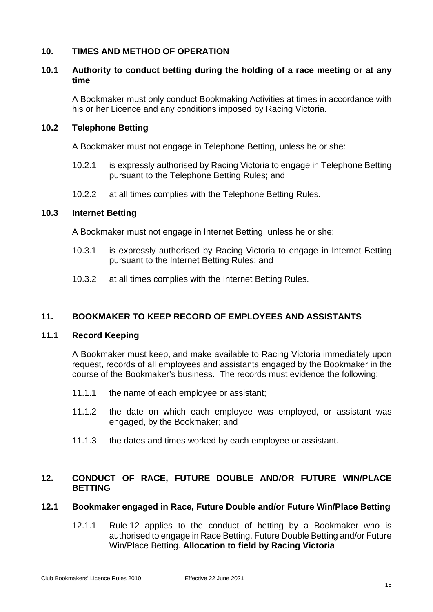## <span id="page-19-0"></span>**10. TIMES AND METHOD OF OPERATION**

## <span id="page-19-1"></span>**10.1 Authority to conduct betting during the holding of a race meeting or at any time**

A Bookmaker must only conduct Bookmaking Activities at times in accordance with his or her Licence and any conditions imposed by Racing Victoria.

## <span id="page-19-2"></span>**10.2 Telephone Betting**

A Bookmaker must not engage in Telephone Betting, unless he or she:

- 10.2.1 is expressly authorised by Racing Victoria to engage in Telephone Betting pursuant to the Telephone Betting Rules; and
- 10.2.2 at all times complies with the Telephone Betting Rules.

## <span id="page-19-3"></span>**10.3 Internet Betting**

A Bookmaker must not engage in Internet Betting, unless he or she:

- 10.3.1 is expressly authorised by Racing Victoria to engage in Internet Betting pursuant to the Internet Betting Rules; and
- 10.3.2 at all times complies with the Internet Betting Rules.

## <span id="page-19-4"></span>**11. BOOKMAKER TO KEEP RECORD OF EMPLOYEES AND ASSISTANTS**

#### <span id="page-19-5"></span>**11.1 Record Keeping**

A Bookmaker must keep, and make available to Racing Victoria immediately upon request, records of all employees and assistants engaged by the Bookmaker in the course of the Bookmaker's business. The records must evidence the following:

- 11.1.1 the name of each employee or assistant;
- 11.1.2 the date on which each employee was employed, or assistant was engaged, by the Bookmaker; and
- 11.1.3 the dates and times worked by each employee or assistant.

## <span id="page-19-8"></span><span id="page-19-6"></span>**12. CONDUCT OF RACE, FUTURE DOUBLE AND/OR FUTURE WIN/PLACE BETTING**

#### <span id="page-19-7"></span>**12.1 Bookmaker engaged in Race, Future Double and/or Future Win/Place Betting**

12.1.1 Rule [12](#page-19-8) applies to the conduct of betting by a Bookmaker who is authorised to engage in Race Betting, Future Double Betting and/or Future Win/Place Betting. **Allocation to field by Racing Victoria**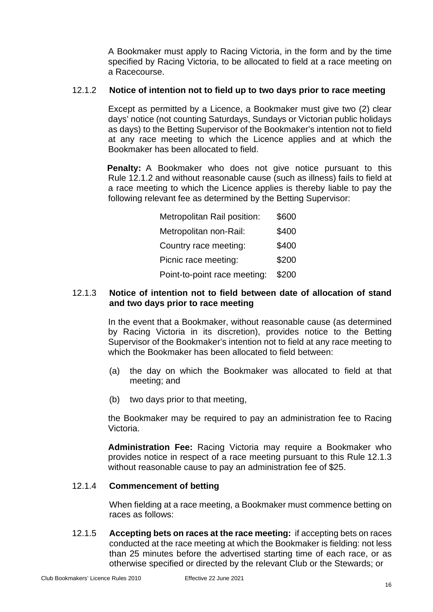A Bookmaker must apply to Racing Victoria, in the form and by the time specified by Racing Victoria, to be allocated to field at a race meeting on a Racecourse.

## <span id="page-20-0"></span>12.1.2 **Notice of intention not to field up to two days prior to race meeting**

Except as permitted by a Licence, a Bookmaker must give two (2) clear days' notice (not counting Saturdays, Sundays or Victorian public holidays as days) to the Betting Supervisor of the Bookmaker's intention not to field at any race meeting to which the Licence applies and at which the Bookmaker has been allocated to field.

**Penalty:** A Bookmaker who does not give notice pursuant to this Rule [12.1.2](#page-20-0) and without reasonable cause (such as illness) fails to field at a race meeting to which the Licence applies is thereby liable to pay the following relevant fee as determined by the Betting Supervisor:

| Metropolitan Rail position:  | \$600 |
|------------------------------|-------|
| Metropolitan non-Rail:       | \$400 |
| Country race meeting:        | \$400 |
| Picnic race meeting:         | \$200 |
| Point-to-point race meeting: | \$200 |

## <span id="page-20-1"></span>12.1.3 **Notice of intention not to field between date of allocation of stand and two days prior to race meeting**

In the event that a Bookmaker, without reasonable cause (as determined by Racing Victoria in its discretion), provides notice to the Betting Supervisor of the Bookmaker's intention not to field at any race meeting to which the Bookmaker has been allocated to field between:

- (a) the day on which the Bookmaker was allocated to field at that meeting; and
- (b) two days prior to that meeting,

the Bookmaker may be required to pay an administration fee to Racing Victoria.

**Administration Fee:** Racing Victoria may require a Bookmaker who provides notice in respect of a race meeting pursuant to this Rule [12.1.3](#page-20-1) without reasonable cause to pay an administration fee of \$25.

## 12.1.4 **Commencement of betting**

When fielding at a race meeting, a Bookmaker must commence betting on races as follows:

12.1.5 **Accepting bets on races at the race meeting:** if accepting bets on races conducted at the race meeting at which the Bookmaker is fielding: not less than 25 minutes before the advertised starting time of each race, or as otherwise specified or directed by the relevant Club or the Stewards; or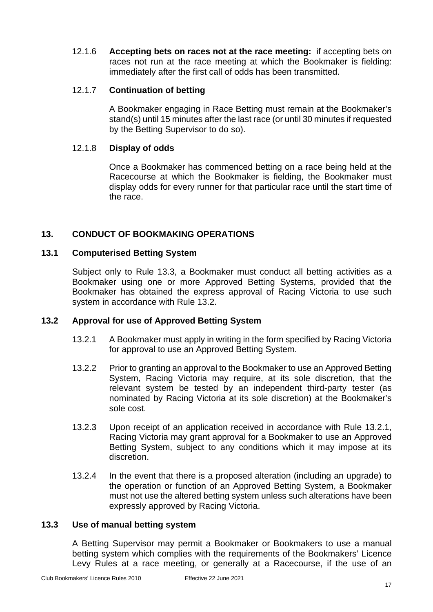12.1.6 **Accepting bets on races not at the race meeting:** if accepting bets on races not run at the race meeting at which the Bookmaker is fielding: immediately after the first call of odds has been transmitted.

## 12.1.7 **Continuation of betting**

A Bookmaker engaging in Race Betting must remain at the Bookmaker's stand(s) until 15 minutes after the last race (or until 30 minutes if requested by the Betting Supervisor to do so).

#### 12.1.8 **Display of odds**

Once a Bookmaker has commenced betting on a race being held at the Racecourse at which the Bookmaker is fielding, the Bookmaker must display odds for every runner for that particular race until the start time of the race.

## <span id="page-21-0"></span>**13. CONDUCT OF BOOKMAKING OPERATIONS**

#### <span id="page-21-1"></span>**13.1 Computerised Betting System**

Subject only to Rule [13.3,](#page-21-3) a Bookmaker must conduct all betting activities as a Bookmaker using one or more Approved Betting Systems, provided that the Bookmaker has obtained the express approval of Racing Victoria to use such system in accordance with Rule [13.2.](#page-21-2)

#### <span id="page-21-4"></span><span id="page-21-2"></span>**13.2 Approval for use of Approved Betting System**

- 13.2.1 A Bookmaker must apply in writing in the form specified by Racing Victoria for approval to use an Approved Betting System.
- 13.2.2 Prior to granting an approval to the Bookmaker to use an Approved Betting System, Racing Victoria may require, at its sole discretion, that the relevant system be tested by an independent third-party tester (as nominated by Racing Victoria at its sole discretion) at the Bookmaker's sole cost.
- 13.2.3 Upon receipt of an application received in accordance with Rule [13.2.1,](#page-21-4) Racing Victoria may grant approval for a Bookmaker to use an Approved Betting System, subject to any conditions which it may impose at its discretion.
- 13.2.4 In the event that there is a proposed alteration (including an upgrade) to the operation or function of an Approved Betting System, a Bookmaker must not use the altered betting system unless such alterations have been expressly approved by Racing Victoria.

#### <span id="page-21-3"></span>**13.3 Use of manual betting system**

A Betting Supervisor may permit a Bookmaker or Bookmakers to use a manual betting system which complies with the requirements of the Bookmakers' Licence Levy Rules at a race meeting, or generally at a Racecourse, if the use of an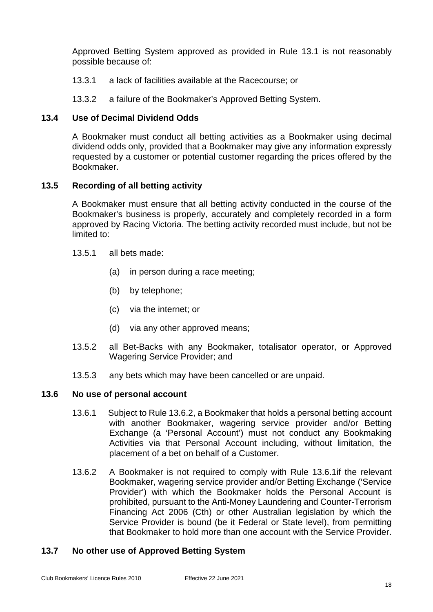Approved Betting System approved as provided in Rule [13.1](#page-21-1) is not reasonably possible because of:

- 13.3.1 a lack of facilities available at the Racecourse; or
- 13.3.2 a failure of the Bookmaker's Approved Betting System.

## <span id="page-22-0"></span>**13.4 Use of Decimal Dividend Odds**

A Bookmaker must conduct all betting activities as a Bookmaker using decimal dividend odds only, provided that a Bookmaker may give any information expressly requested by a customer or potential customer regarding the prices offered by the Bookmaker.

## <span id="page-22-1"></span>**13.5 Recording of all betting activity**

A Bookmaker must ensure that all betting activity conducted in the course of the Bookmaker's business is properly, accurately and completely recorded in a form approved by Racing Victoria. The betting activity recorded must include, but not be limited to:

- 13.5.1 all bets made:
	- (a) in person during a race meeting;
	- (b) by telephone;
	- (c) via the internet; or
	- (d) via any other approved means;
- 13.5.2 all Bet-Backs with any Bookmaker, totalisator operator, or Approved Wagering Service Provider; and
- 13.5.3 any bets which may have been cancelled or are unpaid.

## <span id="page-22-5"></span><span id="page-22-2"></span>**13.6 No use of personal account**

- 13.6.1 Subject to Rule [13.6.2,](#page-22-4) a Bookmaker that holds a personal betting account with another Bookmaker, wagering service provider and/or Betting Exchange (a 'Personal Account') must not conduct any Bookmaking Activities via that Personal Account including, without limitation, the placement of a bet on behalf of a Customer.
- <span id="page-22-4"></span>13.6.2 A Bookmaker is not required to comply with Rule [13.6.1i](#page-22-5)f the relevant Bookmaker, wagering service provider and/or Betting Exchange ('Service Provider') with which the Bookmaker holds the Personal Account is prohibited, pursuant to the Anti-Money Laundering and Counter-Terrorism Financing Act 2006 (Cth) or other Australian legislation by which the Service Provider is bound (be it Federal or State level), from permitting that Bookmaker to hold more than one account with the Service Provider.

## <span id="page-22-3"></span>**13.7 No other use of Approved Betting System**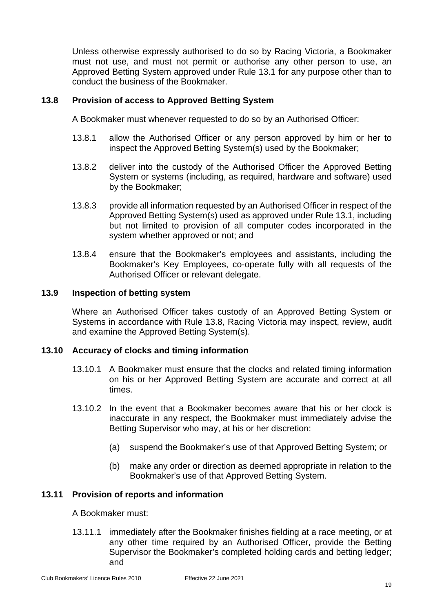Unless otherwise expressly authorised to do so by Racing Victoria, a Bookmaker must not use, and must not permit or authorise any other person to use, an Approved Betting System approved under Rule [13.1](#page-21-1) for any purpose other than to conduct the business of the Bookmaker.

## <span id="page-23-0"></span>**13.8 Provision of access to Approved Betting System**

A Bookmaker must whenever requested to do so by an Authorised Officer:

- 13.8.1 allow the Authorised Officer or any person approved by him or her to inspect the Approved Betting System(s) used by the Bookmaker;
- 13.8.2 deliver into the custody of the Authorised Officer the Approved Betting System or systems (including, as required, hardware and software) used by the Bookmaker;
- 13.8.3 provide all information requested by an Authorised Officer in respect of the Approved Betting System(s) used as approved under Rule [13.1,](#page-21-1) including but not limited to provision of all computer codes incorporated in the system whether approved or not; and
- 13.8.4 ensure that the Bookmaker's employees and assistants, including the Bookmaker's Key Employees, co-operate fully with all requests of the Authorised Officer or relevant delegate.

## <span id="page-23-1"></span>**13.9 Inspection of betting system**

Where an Authorised Officer takes custody of an Approved Betting System or Systems in accordance with Rule [13.8,](#page-23-0) Racing Victoria may inspect, review, audit and examine the Approved Betting System(s).

#### <span id="page-23-2"></span>**13.10 Accuracy of clocks and timing information**

- 13.10.1 A Bookmaker must ensure that the clocks and related timing information on his or her Approved Betting System are accurate and correct at all times.
- 13.10.2 In the event that a Bookmaker becomes aware that his or her clock is inaccurate in any respect, the Bookmaker must immediately advise the Betting Supervisor who may, at his or her discretion:
	- (a) suspend the Bookmaker's use of that Approved Betting System; or
	- (b) make any order or direction as deemed appropriate in relation to the Bookmaker's use of that Approved Betting System.

#### <span id="page-23-3"></span>**13.11 Provision of reports and information**

A Bookmaker must:

13.11.1 immediately after the Bookmaker finishes fielding at a race meeting, or at any other time required by an Authorised Officer, provide the Betting Supervisor the Bookmaker's completed holding cards and betting ledger; and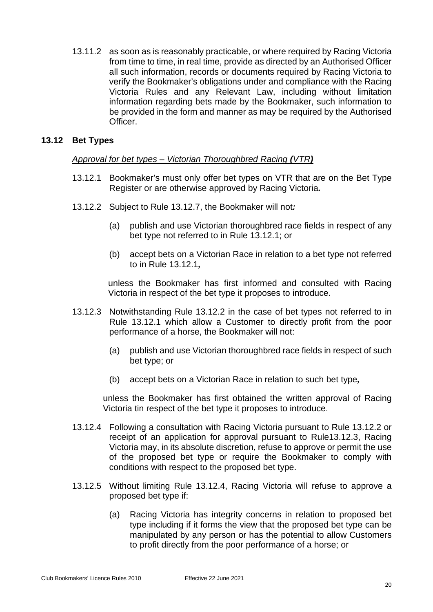13.11.2 as soon as is reasonably practicable, or where required by Racing Victoria from time to time, in real time, provide as directed by an Authorised Officer all such information, records or documents required by Racing Victoria to verify the Bookmaker's obligations under and compliance with the Racing Victoria Rules and any Relevant Law, including without limitation information regarding bets made by the Bookmaker, such information to be provided in the form and manner as may be required by the Authorised Officer.

## <span id="page-24-0"></span>**13.12 Bet Types**

## *Approval for bet types – Victorian Thoroughbred Racing (VTR)*

- <span id="page-24-1"></span>13.12.1 Bookmaker's must only offer bet types on VTR that are on the Bet Type Register or are otherwise approved by Racing Victoria*.*
- <span id="page-24-2"></span>13.12.2 Subject to Rule [13.12.7,](#page-25-1) the Bookmaker will not*:*
	- (a) publish and use Victorian thoroughbred race fields in respect of any bet type not referred to in Rule [13.12.1;](#page-24-1) or
	- (b) accept bets on a Victorian Race in relation to a bet type not referred to in Rule [13.12.1](#page-24-1)*,*

unless the Bookmaker has first informed and consulted with Racing Victoria in respect of the bet type it proposes to introduce.

- <span id="page-24-3"></span>13.12.3 Notwithstanding Rule [13.12.2](#page-24-2) in the case of bet types not referred to in Rule [13.12.1](#page-24-1) which allow a Customer to directly profit from the poor performance of a horse, the Bookmaker will not:
	- (a) publish and use Victorian thoroughbred race fields in respect of such bet type; or
	- (b) accept bets on a Victorian Race in relation to such bet type*,*

unless the Bookmaker has first obtained the written approval of Racing Victoria tin respect of the bet type it proposes to introduce.

- <span id="page-24-4"></span>13.12.4 Following a consultation with Racing Victoria pursuant to Rule [13.12.2](#page-24-2) or receipt of an application for approval pursuant to Rul[e13.12.3,](#page-24-3) Racing Victoria may, in its absolute discretion, refuse to approve or permit the use of the proposed bet type or require the Bookmaker to comply with conditions with respect to the proposed bet type.
- 13.12.5 Without limiting Rule [13.12.4,](#page-24-4) Racing Victoria will refuse to approve a proposed bet type if:
	- (a) Racing Victoria has integrity concerns in relation to proposed bet type including if it forms the view that the proposed bet type can be manipulated by any person or has the potential to allow Customers to profit directly from the poor performance of a horse; or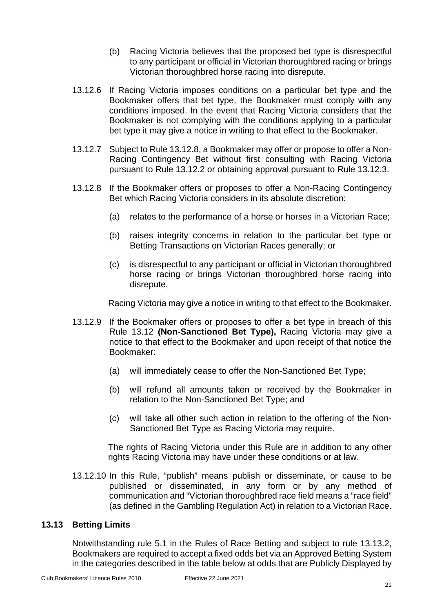- (b) Racing Victoria believes that the proposed bet type is disrespectful to any participant or official in Victorian thoroughbred racing or brings Victorian thoroughbred horse racing into disrepute.
- 13.12.6 If Racing Victoria imposes conditions on a particular bet type and the Bookmaker offers that bet type, the Bookmaker must comply with any conditions imposed. In the event that Racing Victoria considers that the Bookmaker is not complying with the conditions applying to a particular bet type it may give a notice in writing to that effect to the Bookmaker.
- <span id="page-25-1"></span>13.12.7 Subject to Rule [13.12.8,](#page-25-2) a Bookmaker may offer or propose to offer a Non-Racing Contingency Bet without first consulting with Racing Victoria pursuant to Rule [13.12.2](#page-24-2) or obtaining approval pursuant to Rule [13.12.3.](#page-24-3)
- <span id="page-25-2"></span>13.12.8 If the Bookmaker offers or proposes to offer a Non-Racing Contingency Bet which Racing Victoria considers in its absolute discretion:
	- (a) relates to the performance of a horse or horses in a Victorian Race;
	- (b) raises integrity concerns in relation to the particular bet type or Betting Transactions on Victorian Races generally; or
	- (c) is disrespectful to any participant or official in Victorian thoroughbred horse racing or brings Victorian thoroughbred horse racing into disrepute,

Racing Victoria may give a notice in writing to that effect to the Bookmaker.

- 13.12.9 If the Bookmaker offers or proposes to offer a bet type in breach of this Rule [13.12](#page-24-0) **(Non-Sanctioned Bet Type),** Racing Victoria may give a notice to that effect to the Bookmaker and upon receipt of that notice the Bookmaker:
	- (a) will immediately cease to offer the Non-Sanctioned Bet Type;
	- (b) will refund all amounts taken or received by the Bookmaker in relation to the Non-Sanctioned Bet Type; and
	- (c) will take all other such action in relation to the offering of the Non-Sanctioned Bet Type as Racing Victoria may require.

The rights of Racing Victoria under this Rule are in addition to any other rights Racing Victoria may have under these conditions or at law.

13.12.10 In this Rule, "publish" means publish or disseminate, or cause to be published or disseminated, in any form or by any method of communication and "Victorian thoroughbred race field means a "race field" (as defined in the Gambling Regulation Act) in relation to a Victorian Race.

## <span id="page-25-0"></span>**13.13 Betting Limits**

Notwithstanding rule 5.1 in the Rules of Race Betting and subject to rule [13.13.2,](#page-26-0) Bookmakers are required to accept a fixed odds bet via an Approved Betting System in the categories described in the table below at odds that are Publicly Displayed by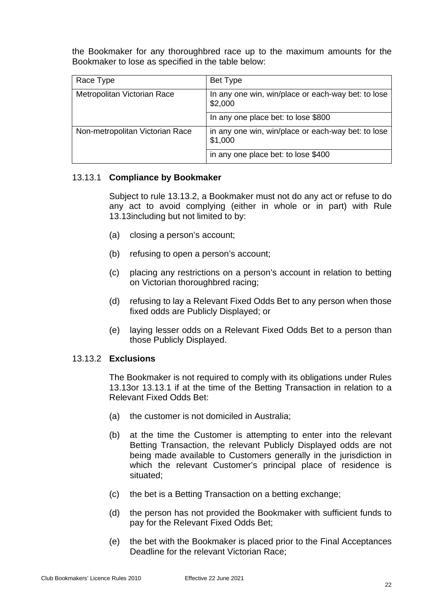the Bookmaker for any thoroughbred race up to the maximum amounts for the Bookmaker to lose as specified in the table below:

| Race Type                       | Bet Type                                                      |
|---------------------------------|---------------------------------------------------------------|
| Metropolitan Victorian Race     | In any one win, win/place or each-way bet: to lose<br>\$2,000 |
|                                 | In any one place bet: to lose \$800                           |
| Non-metropolitan Victorian Race | in any one win, win/place or each-way bet: to lose<br>\$1,000 |
|                                 | in any one place bet: to lose \$400                           |

## <span id="page-26-1"></span>13.13.1 **Compliance by Bookmaker**

Subject to rule [13.13.2,](#page-26-0) a Bookmaker must not do any act or refuse to do any act to avoid complying (either in whole or in part) with Rule [13.13in](#page-25-0)cluding but not limited to by:

- (a) closing a person's account;
- (b) refusing to open a person's account;
- (c) placing any restrictions on a person's account in relation to betting on Victorian thoroughbred racing;
- (d) refusing to lay a Relevant Fixed Odds Bet to any person when those fixed odds are Publicly Displayed; or
- (e) laying lesser odds on a Relevant Fixed Odds Bet to a person than those Publicly Displayed.

#### <span id="page-26-0"></span>13.13.2 **Exclusions**

The Bookmaker is not required to comply with its obligations under Rules [13.13o](#page-25-0)r [13.13.1](#page-26-1) if at the time of the Betting Transaction in relation to a Relevant Fixed Odds Bet:

- (a) the customer is not domiciled in Australia;
- (b) at the time the Customer is attempting to enter into the relevant Betting Transaction, the relevant Publicly Displayed odds are not being made available to Customers generally in the jurisdiction in which the relevant Customer's principal place of residence is situated;
- (c) the bet is a Betting Transaction on a betting exchange;
- (d) the person has not provided the Bookmaker with sufficient funds to pay for the Relevant Fixed Odds Bet;
- (e) the bet with the Bookmaker is placed prior to the Final Acceptances Deadline for the relevant Victorian Race;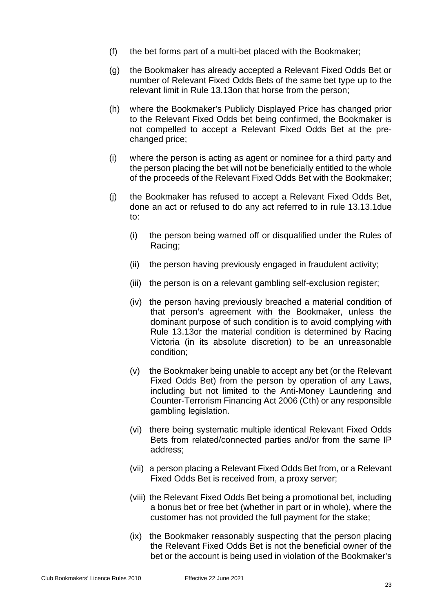- (f) the bet forms part of a multi-bet placed with the Bookmaker;
- (g) the Bookmaker has already accepted a Relevant Fixed Odds Bet or number of Relevant Fixed Odds Bets of the same bet type up to the relevant limit in Rule [13.13o](#page-25-0)n that horse from the person;
- (h) where the Bookmaker's Publicly Displayed Price has changed prior to the Relevant Fixed Odds bet being confirmed, the Bookmaker is not compelled to accept a Relevant Fixed Odds Bet at the prechanged price;
- (i) where the person is acting as agent or nominee for a third party and the person placing the bet will not be beneficially entitled to the whole of the proceeds of the Relevant Fixed Odds Bet with the Bookmaker;
- (j) the Bookmaker has refused to accept a Relevant Fixed Odds Bet, done an act or refused to do any act referred to in rule [13.13.1d](#page-26-1)ue to:
	- (i) the person being warned off or disqualified under the Rules of Racing;
	- (ii) the person having previously engaged in fraudulent activity;
	- (iii) the person is on a relevant gambling self-exclusion register;
	- (iv) the person having previously breached a material condition of that person's agreement with the Bookmaker, unless the dominant purpose of such condition is to avoid complying with Rule [13.13o](#page-25-0)r the material condition is determined by Racing Victoria (in its absolute discretion) to be an unreasonable condition;
	- (v) the Bookmaker being unable to accept any bet (or the Relevant Fixed Odds Bet) from the person by operation of any Laws, including but not limited to the Anti-Money Laundering and Counter-Terrorism Financing Act 2006 (Cth) or any responsible gambling legislation.
	- (vi) there being systematic multiple identical Relevant Fixed Odds Bets from related/connected parties and/or from the same IP address;
	- (vii) a person placing a Relevant Fixed Odds Bet from, or a Relevant Fixed Odds Bet is received from, a proxy server;
	- (viii) the Relevant Fixed Odds Bet being a promotional bet, including a bonus bet or free bet (whether in part or in whole), where the customer has not provided the full payment for the stake;
	- (ix) the Bookmaker reasonably suspecting that the person placing the Relevant Fixed Odds Bet is not the beneficial owner of the bet or the account is being used in violation of the Bookmaker's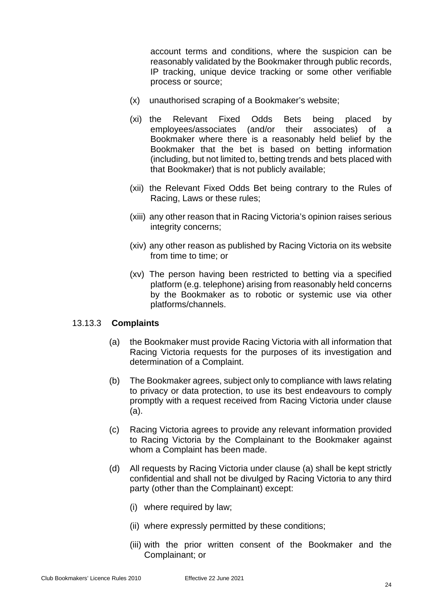account terms and conditions, where the suspicion can be reasonably validated by the Bookmaker through public records, IP tracking, unique device tracking or some other verifiable process or source;

- (x) unauthorised scraping of a Bookmaker's website;
- (xi) the Relevant Fixed Odds Bets being placed by employees/associates (and/or their associates) of a Bookmaker where there is a reasonably held belief by the Bookmaker that the bet is based on betting information (including, but not limited to, betting trends and bets placed with that Bookmaker) that is not publicly available;
- (xii) the Relevant Fixed Odds Bet being contrary to the Rules of Racing, Laws or these rules;
- (xiii) any other reason that in Racing Victoria's opinion raises serious integrity concerns;
- (xiv) any other reason as published by Racing Victoria on its website from time to time; or
- (xv) The person having been restricted to betting via a specified platform (e.g. telephone) arising from reasonably held concerns by the Bookmaker as to robotic or systemic use via other platforms/channels.

## <span id="page-28-0"></span>13.13.3 **Complaints**

- <span id="page-28-2"></span>(a) the Bookmaker must provide Racing Victoria with all information that Racing Victoria requests for the purposes of its investigation and determination of a Complaint.
- (b) The Bookmaker agrees, subject only to compliance with laws relating to privacy or data protection, to use its best endeavours to comply promptly with a request received from Racing Victoria under clause [\(a\).](#page-28-0)
- (c) Racing Victoria agrees to provide any relevant information provided to Racing Victoria by the Complainant to the Bookmaker against whom a Complaint has been made.
- <span id="page-28-1"></span>(d) All requests by Racing Victoria under clause [\(a\)](#page-28-0) shall be kept strictly confidential and shall not be divulged by Racing Victoria to any third party (other than the Complainant) except:
	- (i) where required by law;
	- (ii) where expressly permitted by these conditions;
	- (iii) with the prior written consent of the Bookmaker and the Complainant; or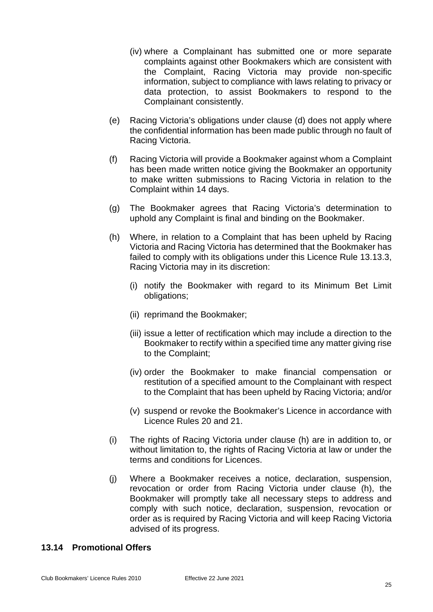- (iv) where a Complainant has submitted one or more separate complaints against other Bookmakers which are consistent with the Complaint, Racing Victoria may provide non-specific information, subject to compliance with laws relating to privacy or data protection, to assist Bookmakers to respond to the Complainant consistently.
- (e) Racing Victoria's obligations under clause [\(d\)](#page-28-1) does not apply where the confidential information has been made public through no fault of Racing Victoria.
- (f) Racing Victoria will provide a Bookmaker against whom a Complaint has been made written notice giving the Bookmaker an opportunity to make written submissions to Racing Victoria in relation to the Complaint within 14 days.
- (g) The Bookmaker agrees that Racing Victoria's determination to uphold any Complaint is final and binding on the Bookmaker.
- <span id="page-29-1"></span>(h) Where, in relation to a Complaint that has been upheld by Racing Victoria and Racing Victoria has determined that the Bookmaker has failed to comply with its obligations under this Licence Rule [13.13.3,](#page-28-2) Racing Victoria may in its discretion:
	- (i) notify the Bookmaker with regard to its Minimum Bet Limit obligations;
	- (ii) reprimand the Bookmaker;
	- (iii) issue a letter of rectification which may include a direction to the Bookmaker to rectify within a specified time any matter giving rise to the Complaint;
	- (iv) order the Bookmaker to make financial compensation or restitution of a specified amount to the Complainant with respect to the Complaint that has been upheld by Racing Victoria; and/or
	- (v) suspend or revoke the Bookmaker's Licence in accordance with Licence Rules [20](#page-40-0) and [21.](#page-41-1)
- (i) The rights of Racing Victoria under clause [\(h\)](#page-29-1) are in addition to, or without limitation to, the rights of Racing Victoria at law or under the terms and conditions for Licences.
- (j) Where a Bookmaker receives a notice, declaration, suspension, revocation or order from Racing Victoria under clause [\(h\),](#page-29-1) the Bookmaker will promptly take all necessary steps to address and comply with such notice, declaration, suspension, revocation or order as is required by Racing Victoria and will keep Racing Victoria advised of its progress.

## <span id="page-29-0"></span>**13.14 Promotional Offers**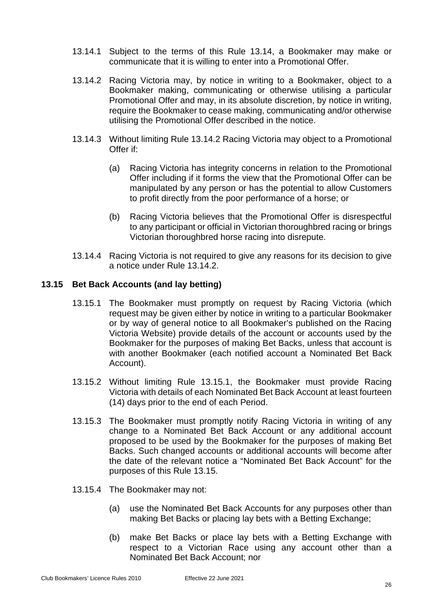- 13.14.1 Subject to the terms of this Rule [13.14,](#page-29-0) a Bookmaker may make or communicate that it is willing to enter into a Promotional Offer.
- <span id="page-30-1"></span>13.14.2 Racing Victoria may, by notice in writing to a Bookmaker, object to a Bookmaker making, communicating or otherwise utilising a particular Promotional Offer and may, in its absolute discretion, by notice in writing, require the Bookmaker to cease making, communicating and/or otherwise utilising the Promotional Offer described in the notice.
- 13.14.3 Without limiting Rule [13.14.2](#page-30-1) Racing Victoria may object to a Promotional Offer if:
	- (a) Racing Victoria has integrity concerns in relation to the Promotional Offer including if it forms the view that the Promotional Offer can be manipulated by any person or has the potential to allow Customers to profit directly from the poor performance of a horse; or
	- (b) Racing Victoria believes that the Promotional Offer is disrespectful to any participant or official in Victorian thoroughbred racing or brings Victorian thoroughbred horse racing into disrepute.
- 13.14.4 Racing Victoria is not required to give any reasons for its decision to give a notice under Rule [13.14.2.](#page-30-1)

## <span id="page-30-2"></span><span id="page-30-0"></span>**13.15 Bet Back Accounts (and lay betting)**

- 13.15.1 The Bookmaker must promptly on request by Racing Victoria (which request may be given either by notice in writing to a particular Bookmaker or by way of general notice to all Bookmaker's published on the Racing Victoria Website) provide details of the account or accounts used by the Bookmaker for the purposes of making Bet Backs, unless that account is with another Bookmaker (each notified account a Nominated Bet Back Account).
- 13.15.2 Without limiting Rule [13.15.1,](#page-30-2) the Bookmaker must provide Racing Victoria with details of each Nominated Bet Back Account at least fourteen (14) days prior to the end of each Period.
- 13.15.3 The Bookmaker must promptly notify Racing Victoria in writing of any change to a Nominated Bet Back Account or any additional account proposed to be used by the Bookmaker for the purposes of making Bet Backs. Such changed accounts or additional accounts will become after the date of the relevant notice a "Nominated Bet Back Account" for the purposes of this Rule [13.15.](#page-30-0)
- 13.15.4 The Bookmaker may not:
	- (a) use the Nominated Bet Back Accounts for any purposes other than making Bet Backs or placing lay bets with a Betting Exchange;
	- (b) make Bet Backs or place lay bets with a Betting Exchange with respect to a Victorian Race using any account other than a Nominated Bet Back Account; nor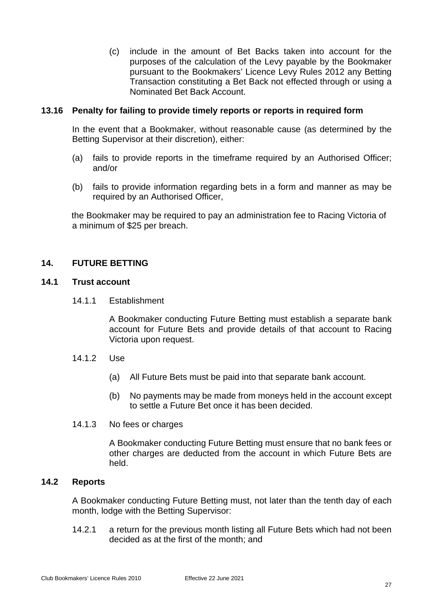(c) include in the amount of Bet Backs taken into account for the purposes of the calculation of the Levy payable by the Bookmaker pursuant to the Bookmakers' Licence Levy Rules 2012 any Betting Transaction constituting a Bet Back not effected through or using a Nominated Bet Back Account.

## <span id="page-31-0"></span>**13.16 Penalty for failing to provide timely reports or reports in required form**

In the event that a Bookmaker, without reasonable cause (as determined by the Betting Supervisor at their discretion), either:

- (a) fails to provide reports in the timeframe required by an Authorised Officer; and/or
- (b) fails to provide information regarding bets in a form and manner as may be required by an Authorised Officer,

the Bookmaker may be required to pay an administration fee to Racing Victoria of a minimum of \$25 per breach.

## <span id="page-31-1"></span>**14. FUTURE BETTING**

## <span id="page-31-2"></span>**14.1 Trust account**

14.1.1 Establishment

A Bookmaker conducting Future Betting must establish a separate bank account for Future Bets and provide details of that account to Racing Victoria upon request.

- 14.1.2 Use
	- (a) All Future Bets must be paid into that separate bank account.
	- (b) No payments may be made from moneys held in the account except to settle a Future Bet once it has been decided.
- 14.1.3 No fees or charges

A Bookmaker conducting Future Betting must ensure that no bank fees or other charges are deducted from the account in which Future Bets are held.

## <span id="page-31-3"></span>**14.2 Reports**

A Bookmaker conducting Future Betting must, not later than the tenth day of each month, lodge with the Betting Supervisor:

14.2.1 a return for the previous month listing all Future Bets which had not been decided as at the first of the month; and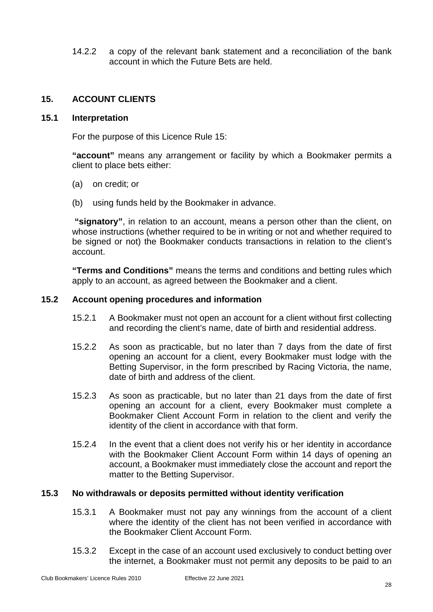14.2.2 a copy of the relevant bank statement and a reconciliation of the bank account in which the Future Bets are held.

## <span id="page-32-4"></span><span id="page-32-0"></span>**15. ACCOUNT CLIENTS**

## <span id="page-32-1"></span>**15.1 Interpretation**

For the purpose of this Licence Rule [15:](#page-32-4)

**"account"** means any arrangement or facility by which a Bookmaker permits a client to place bets either:

- (a) on credit; or
- (b) using funds held by the Bookmaker in advance.

**"signatory"**, in relation to an account, means a person other than the client, on whose instructions (whether required to be in writing or not and whether required to be signed or not) the Bookmaker conducts transactions in relation to the client's account.

**"Terms and Conditions"** means the terms and conditions and betting rules which apply to an account, as agreed between the Bookmaker and a client.

## <span id="page-32-2"></span>**15.2 Account opening procedures and information**

- 15.2.1 A Bookmaker must not open an account for a client without first collecting and recording the client's name, date of birth and residential address.
- 15.2.2 As soon as practicable, but no later than 7 days from the date of first opening an account for a client, every Bookmaker must lodge with the Betting Supervisor, in the form prescribed by Racing Victoria, the name, date of birth and address of the client.
- 15.2.3 As soon as practicable, but no later than 21 days from the date of first opening an account for a client, every Bookmaker must complete a Bookmaker Client Account Form in relation to the client and verify the identity of the client in accordance with that form.
- 15.2.4 In the event that a client does not verify his or her identity in accordance with the Bookmaker Client Account Form within 14 days of opening an account, a Bookmaker must immediately close the account and report the matter to the Betting Supervisor.

#### <span id="page-32-3"></span>**15.3 No withdrawals or deposits permitted without identity verification**

- 15.3.1 A Bookmaker must not pay any winnings from the account of a client where the identity of the client has not been verified in accordance with the Bookmaker Client Account Form.
- 15.3.2 Except in the case of an account used exclusively to conduct betting over the internet, a Bookmaker must not permit any deposits to be paid to an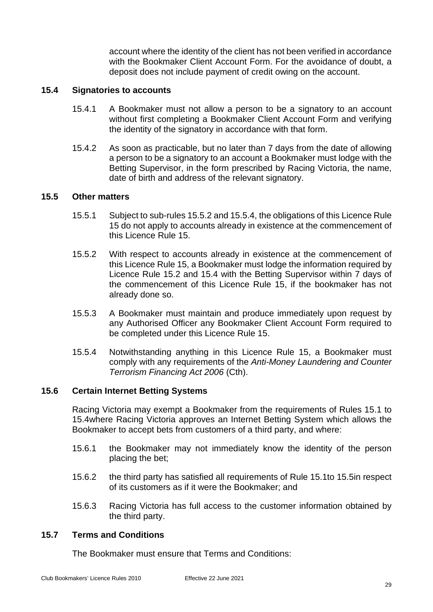account where the identity of the client has not been verified in accordance with the Bookmaker Client Account Form. For the avoidance of doubt, a deposit does not include payment of credit owing on the account.

#### <span id="page-33-0"></span>**15.4 Signatories to accounts**

- 15.4.1 A Bookmaker must not allow a person to be a signatory to an account without first completing a Bookmaker Client Account Form and verifying the identity of the signatory in accordance with that form.
- 15.4.2 As soon as practicable, but no later than 7 days from the date of allowing a person to be a signatory to an account a Bookmaker must lodge with the Betting Supervisor, in the form prescribed by Racing Victoria, the name, date of birth and address of the relevant signatory.

## <span id="page-33-1"></span>**15.5 Other matters**

- 15.5.1 Subject to sub-rules [15.5.2](#page-33-4) and [15.5.4,](#page-33-5) the obligations of this Licence Rule [15](#page-32-4) do not apply to accounts already in existence at the commencement of this Licence Rule [15.](#page-32-4)
- <span id="page-33-4"></span>15.5.2 With respect to accounts already in existence at the commencement of this Licence Rule [15,](#page-32-4) a Bookmaker must lodge the information required by Licence Rule [15.2](#page-32-2) and [15.4](#page-33-0) with the Betting Supervisor within 7 days of the commencement of this Licence Rule [15,](#page-32-4) if the bookmaker has not already done so.
- 15.5.3 A Bookmaker must maintain and produce immediately upon request by any Authorised Officer any Bookmaker Client Account Form required to be completed under this Licence Rule [15.](#page-32-4)
- <span id="page-33-5"></span>15.5.4 Notwithstanding anything in this Licence Rule [15,](#page-32-4) a Bookmaker must comply with any requirements of the *Anti-Money Laundering and Counter Terrorism Financing Act 2006* (Cth).

#### <span id="page-33-2"></span>**15.6 Certain Internet Betting Systems**

Racing Victoria may exempt a Bookmaker from the requirements of Rules [15.1](#page-32-1) to [15.4w](#page-33-0)here Racing Victoria approves an Internet Betting System which allows the Bookmaker to accept bets from customers of a third party, and where:

- 15.6.1 the Bookmaker may not immediately know the identity of the person placing the bet;
- 15.6.2 the third party has satisfied all requirements of Rule [15.1t](#page-32-1)o [15.5i](#page-33-1)n respect of its customers as if it were the Bookmaker; and
- 15.6.3 Racing Victoria has full access to the customer information obtained by the third party.

#### <span id="page-33-3"></span>**15.7 Terms and Conditions**

The Bookmaker must ensure that Terms and Conditions: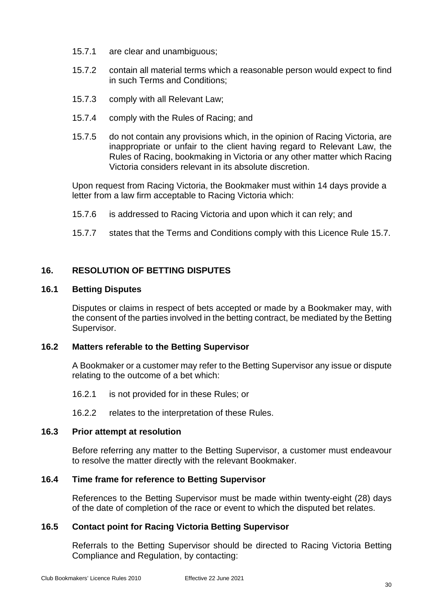- 15.7.1 are clear and unambiguous;
- 15.7.2 contain all material terms which a reasonable person would expect to find in such Terms and Conditions;
- 15.7.3 comply with all Relevant Law;
- 15.7.4 comply with the Rules of Racing; and
- 15.7.5 do not contain any provisions which, in the opinion of Racing Victoria, are inappropriate or unfair to the client having regard to Relevant Law, the Rules of Racing, bookmaking in Victoria or any other matter which Racing Victoria considers relevant in its absolute discretion.

Upon request from Racing Victoria, the Bookmaker must within 14 days provide a letter from a law firm acceptable to Racing Victoria which:

- 15.7.6 is addressed to Racing Victoria and upon which it can rely; and
- 15.7.7 states that the Terms and Conditions comply with this Licence Rule [15.7.](#page-33-3)

## <span id="page-34-0"></span>**16. RESOLUTION OF BETTING DISPUTES**

#### <span id="page-34-1"></span>**16.1 Betting Disputes**

Disputes or claims in respect of bets accepted or made by a Bookmaker may, with the consent of the parties involved in the betting contract, be mediated by the Betting Supervisor.

## <span id="page-34-2"></span>**16.2 Matters referable to the Betting Supervisor**

A Bookmaker or a customer may refer to the Betting Supervisor any issue or dispute relating to the outcome of a bet which:

16.2.1 is not provided for in these Rules; or

16.2.2 relates to the interpretation of these Rules.

## <span id="page-34-3"></span>**16.3 Prior attempt at resolution**

Before referring any matter to the Betting Supervisor, a customer must endeavour to resolve the matter directly with the relevant Bookmaker.

#### <span id="page-34-4"></span>**16.4 Time frame for reference to Betting Supervisor**

References to the Betting Supervisor must be made within twenty-eight (28) days of the date of completion of the race or event to which the disputed bet relates.

## <span id="page-34-5"></span>**16.5 Contact point for Racing Victoria Betting Supervisor**

Referrals to the Betting Supervisor should be directed to Racing Victoria Betting Compliance and Regulation, by contacting: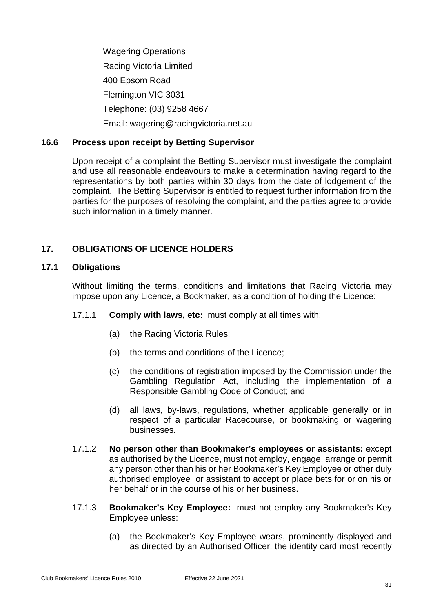Wagering Operations Racing Victoria Limited 400 Epsom Road Flemington VIC 3031 Telephone: (03) 9258 4667 Email: wagering@racingvictoria.net.au

## <span id="page-35-0"></span>**16.6 Process upon receipt by Betting Supervisor**

Upon receipt of a complaint the Betting Supervisor must investigate the complaint and use all reasonable endeavours to make a determination having regard to the representations by both parties within 30 days from the date of lodgement of the complaint. The Betting Supervisor is entitled to request further information from the parties for the purposes of resolving the complaint, and the parties agree to provide such information in a timely manner.

## <span id="page-35-1"></span>**17. OBLIGATIONS OF LICENCE HOLDERS**

## <span id="page-35-2"></span>**17.1 Obligations**

Without limiting the terms, conditions and limitations that Racing Victoria may impose upon any Licence, a Bookmaker, as a condition of holding the Licence:

- 17.1.1 **Comply with laws, etc:** must comply at all times with:
	- (a) the Racing Victoria Rules;
	- (b) the terms and conditions of the Licence;
	- (c) the conditions of registration imposed by the Commission under the Gambling Regulation Act, including the implementation of a Responsible Gambling Code of Conduct; and
	- (d) all laws, by-laws, regulations, whether applicable generally or in respect of a particular Racecourse, or bookmaking or wagering businesses.
- 17.1.2 **No person other than Bookmaker's employees or assistants:** except as authorised by the Licence, must not employ, engage, arrange or permit any person other than his or her Bookmaker's Key Employee or other duly authorised employee or assistant to accept or place bets for or on his or her behalf or in the course of his or her business.
- 17.1.3 **Bookmaker's Key Employee:** must not employ any Bookmaker's Key Employee unless:
	- (a) the Bookmaker's Key Employee wears, prominently displayed and as directed by an Authorised Officer, the identity card most recently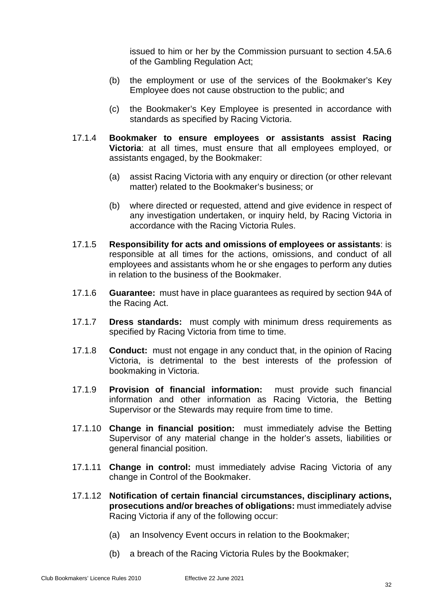issued to him or her by the Commission pursuant to section 4.5A.6 of the Gambling Regulation Act;

- (b) the employment or use of the services of the Bookmaker's Key Employee does not cause obstruction to the public; and
- (c) the Bookmaker's Key Employee is presented in accordance with standards as specified by Racing Victoria.
- 17.1.4 **Bookmaker to ensure employees or assistants assist Racing Victoria**: at all times, must ensure that all employees employed, or assistants engaged, by the Bookmaker:
	- (a) assist Racing Victoria with any enquiry or direction (or other relevant matter) related to the Bookmaker's business; or
	- (b) where directed or requested, attend and give evidence in respect of any investigation undertaken, or inquiry held, by Racing Victoria in accordance with the Racing Victoria Rules.
- 17.1.5 **Responsibility for acts and omissions of employees or assistants**: is responsible at all times for the actions, omissions, and conduct of all employees and assistants whom he or she engages to perform any duties in relation to the business of the Bookmaker.
- 17.1.6 **Guarantee:** must have in place guarantees as required by section 94A of the Racing Act.
- 17.1.7 **Dress standards:** must comply with minimum dress requirements as specified by Racing Victoria from time to time.
- 17.1.8 **Conduct:** must not engage in any conduct that, in the opinion of Racing Victoria, is detrimental to the best interests of the profession of bookmaking in Victoria.
- 17.1.9 **Provision of financial information:** must provide such financial information and other information as Racing Victoria, the Betting Supervisor or the Stewards may require from time to time.
- 17.1.10 **Change in financial position:** must immediately advise the Betting Supervisor of any material change in the holder's assets, liabilities or general financial position.
- 17.1.11 **Change in control:** must immediately advise Racing Victoria of any change in Control of the Bookmaker.
- 17.1.12 **Notification of certain financial circumstances, disciplinary actions, prosecutions and/or breaches of obligations:** must immediately advise Racing Victoria if any of the following occur:
	- (a) an Insolvency Event occurs in relation to the Bookmaker;
	- (b) a breach of the Racing Victoria Rules by the Bookmaker;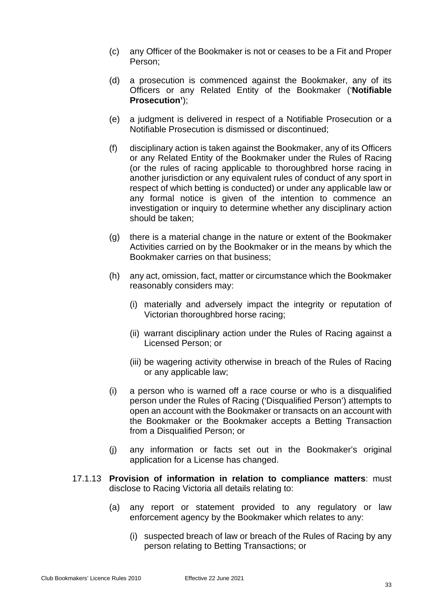- (c) any Officer of the Bookmaker is not or ceases to be a Fit and Proper Person;
- (d) a prosecution is commenced against the Bookmaker, any of its Officers or any Related Entity of the Bookmaker ('**Notifiable Prosecution'**);
- (e) a judgment is delivered in respect of a Notifiable Prosecution or a Notifiable Prosecution is dismissed or discontinued;
- (f) disciplinary action is taken against the Bookmaker, any of its Officers or any Related Entity of the Bookmaker under the Rules of Racing (or the rules of racing applicable to thoroughbred horse racing in another jurisdiction or any equivalent rules of conduct of any sport in respect of which betting is conducted) or under any applicable law or any formal notice is given of the intention to commence an investigation or inquiry to determine whether any disciplinary action should be taken;
- (g) there is a material change in the nature or extent of the Bookmaker Activities carried on by the Bookmaker or in the means by which the Bookmaker carries on that business;
- (h) any act, omission, fact, matter or circumstance which the Bookmaker reasonably considers may:
	- (i) materially and adversely impact the integrity or reputation of Victorian thoroughbred horse racing;
	- (ii) warrant disciplinary action under the Rules of Racing against a Licensed Person; or
	- (iii) be wagering activity otherwise in breach of the Rules of Racing or any applicable law;
- (i) a person who is warned off a race course or who is a disqualified person under the Rules of Racing ('Disqualified Person') attempts to open an account with the Bookmaker or transacts on an account with the Bookmaker or the Bookmaker accepts a Betting Transaction from a Disqualified Person; or
- (j) any information or facts set out in the Bookmaker's original application for a License has changed.
- 17.1.13 **Provision of information in relation to compliance matters**: must disclose to Racing Victoria all details relating to:
	- (a) any report or statement provided to any regulatory or law enforcement agency by the Bookmaker which relates to any:
		- (i) suspected breach of law or breach of the Rules of Racing by any person relating to Betting Transactions; or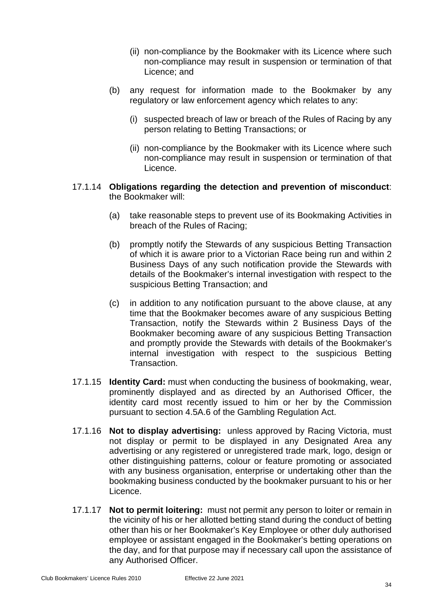- (ii) non-compliance by the Bookmaker with its Licence where such non-compliance may result in suspension or termination of that Licence; and
- (b) any request for information made to the Bookmaker by any regulatory or law enforcement agency which relates to any:
	- (i) suspected breach of law or breach of the Rules of Racing by any person relating to Betting Transactions; or
	- (ii) non-compliance by the Bookmaker with its Licence where such non-compliance may result in suspension or termination of that Licence.

## 17.1.14 **Obligations regarding the detection and prevention of misconduct**: the Bookmaker will:

- (a) take reasonable steps to prevent use of its Bookmaking Activities in breach of the Rules of Racing;
- (b) promptly notify the Stewards of any suspicious Betting Transaction of which it is aware prior to a Victorian Race being run and within 2 Business Days of any such notification provide the Stewards with details of the Bookmaker's internal investigation with respect to the suspicious Betting Transaction; and
- (c) in addition to any notification pursuant to the above clause, at any time that the Bookmaker becomes aware of any suspicious Betting Transaction, notify the Stewards within 2 Business Days of the Bookmaker becoming aware of any suspicious Betting Transaction and promptly provide the Stewards with details of the Bookmaker's internal investigation with respect to the suspicious Betting **Transaction**
- 17.1.15 **Identity Card:** must when conducting the business of bookmaking, wear, prominently displayed and as directed by an Authorised Officer, the identity card most recently issued to him or her by the Commission pursuant to section 4.5A.6 of the Gambling Regulation Act.
- 17.1.16 **Not to display advertising:** unless approved by Racing Victoria, must not display or permit to be displayed in any Designated Area any advertising or any registered or unregistered trade mark, logo, design or other distinguishing patterns, colour or feature promoting or associated with any business organisation, enterprise or undertaking other than the bookmaking business conducted by the bookmaker pursuant to his or her Licence.
- 17.1.17 **Not to permit loitering:** must not permit any person to loiter or remain in the vicinity of his or her allotted betting stand during the conduct of betting other than his or her Bookmaker's Key Employee or other duly authorised employee or assistant engaged in the Bookmaker's betting operations on the day, and for that purpose may if necessary call upon the assistance of any Authorised Officer.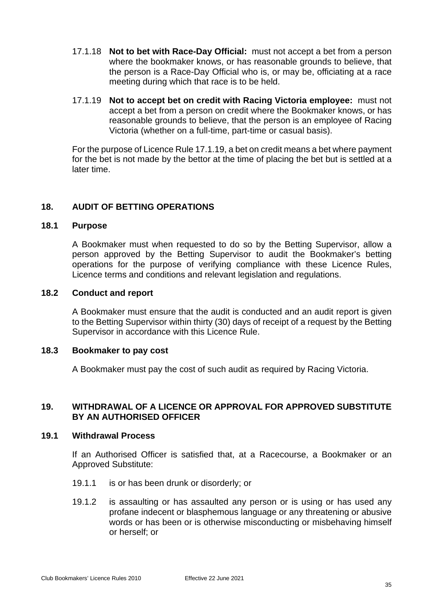- 17.1.18 **Not to bet with Race-Day Official:** must not accept a bet from a person where the bookmaker knows, or has reasonable grounds to believe, that the person is a Race-Day Official who is, or may be, officiating at a race meeting during which that race is to be held.
- <span id="page-39-6"></span>17.1.19 **Not to accept bet on credit with Racing Victoria employee:** must not accept a bet from a person on credit where the Bookmaker knows, or has reasonable grounds to believe, that the person is an employee of Racing Victoria (whether on a full-time, part-time or casual basis).

For the purpose of Licence Rule [17.1.19,](#page-39-6) a bet on credit means a bet where payment for the bet is not made by the bettor at the time of placing the bet but is settled at a later time.

## <span id="page-39-0"></span>**18. AUDIT OF BETTING OPERATIONS**

## <span id="page-39-1"></span>**18.1 Purpose**

A Bookmaker must when requested to do so by the Betting Supervisor, allow a person approved by the Betting Supervisor to audit the Bookmaker's betting operations for the purpose of verifying compliance with these Licence Rules, Licence terms and conditions and relevant legislation and regulations.

#### <span id="page-39-2"></span>**18.2 Conduct and report**

A Bookmaker must ensure that the audit is conducted and an audit report is given to the Betting Supervisor within thirty (30) days of receipt of a request by the Betting Supervisor in accordance with this Licence Rule.

## <span id="page-39-3"></span>**18.3 Bookmaker to pay cost**

A Bookmaker must pay the cost of such audit as required by Racing Victoria.

## <span id="page-39-4"></span>**19. WITHDRAWAL OF A LICENCE OR APPROVAL FOR APPROVED SUBSTITUTE BY AN AUTHORISED OFFICER**

#### <span id="page-39-5"></span>**19.1 Withdrawal Process**

If an Authorised Officer is satisfied that, at a Racecourse, a Bookmaker or an Approved Substitute:

- 19.1.1 is or has been drunk or disorderly; or
- 19.1.2 is assaulting or has assaulted any person or is using or has used any profane indecent or blasphemous language or any threatening or abusive words or has been or is otherwise misconducting or misbehaving himself or herself; or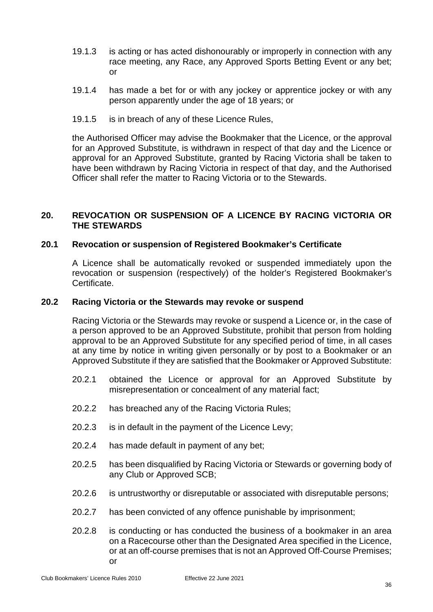- 19.1.3 is acting or has acted dishonourably or improperly in connection with any race meeting, any Race, any Approved Sports Betting Event or any bet; or
- 19.1.4 has made a bet for or with any jockey or apprentice jockey or with any person apparently under the age of 18 years; or
- 19.1.5 is in breach of any of these Licence Rules,

the Authorised Officer may advise the Bookmaker that the Licence, or the approval for an Approved Substitute, is withdrawn in respect of that day and the Licence or approval for an Approved Substitute, granted by Racing Victoria shall be taken to have been withdrawn by Racing Victoria in respect of that day, and the Authorised Officer shall refer the matter to Racing Victoria or to the Stewards.

## <span id="page-40-0"></span>**20. REVOCATION OR SUSPENSION OF A LICENCE BY RACING VICTORIA OR THE STEWARDS**

## <span id="page-40-1"></span>**20.1 Revocation or suspension of Registered Bookmaker's Certificate**

A Licence shall be automatically revoked or suspended immediately upon the revocation or suspension (respectively) of the holder's Registered Bookmaker's Certificate.

## <span id="page-40-2"></span>**20.2 Racing Victoria or the Stewards may revoke or suspend**

Racing Victoria or the Stewards may revoke or suspend a Licence or, in the case of a person approved to be an Approved Substitute, prohibit that person from holding approval to be an Approved Substitute for any specified period of time, in all cases at any time by notice in writing given personally or by post to a Bookmaker or an Approved Substitute if they are satisfied that the Bookmaker or Approved Substitute:

- 20.2.1 obtained the Licence or approval for an Approved Substitute by misrepresentation or concealment of any material fact;
- 20.2.2 has breached any of the Racing Victoria Rules;
- 20.2.3 is in default in the payment of the Licence Levy;
- 20.2.4 has made default in payment of any bet;
- 20.2.5 has been disqualified by Racing Victoria or Stewards or governing body of any Club or Approved SCB;
- 20.2.6 is untrustworthy or disreputable or associated with disreputable persons;
- 20.2.7 has been convicted of any offence punishable by imprisonment;
- 20.2.8 is conducting or has conducted the business of a bookmaker in an area on a Racecourse other than the Designated Area specified in the Licence, or at an off-course premises that is not an Approved Off-Course Premises; or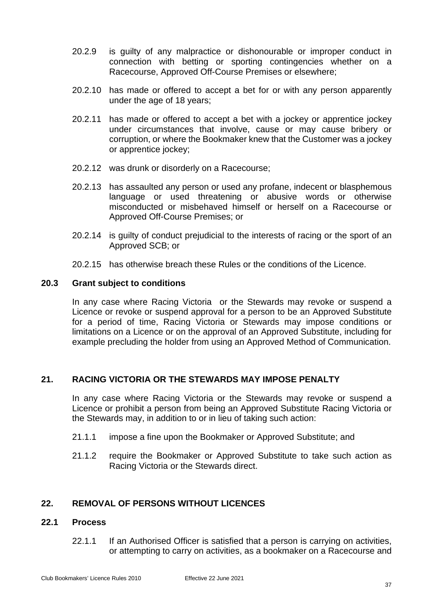- 20.2.9 is guilty of any malpractice or dishonourable or improper conduct in connection with betting or sporting contingencies whether on a Racecourse, Approved Off-Course Premises or elsewhere;
- 20.2.10 has made or offered to accept a bet for or with any person apparently under the age of 18 years;
- 20.2.11 has made or offered to accept a bet with a jockey or apprentice jockey under circumstances that involve, cause or may cause bribery or corruption, or where the Bookmaker knew that the Customer was a jockey or apprentice jockey;
- 20.2.12 was drunk or disorderly on a Racecourse;
- 20.2.13 has assaulted any person or used any profane, indecent or blasphemous language or used threatening or abusive words or otherwise misconducted or misbehaved himself or herself on a Racecourse or Approved Off-Course Premises; or
- 20.2.14 is guilty of conduct prejudicial to the interests of racing or the sport of an Approved SCB; or
- 20.2.15 has otherwise breach these Rules or the conditions of the Licence.

## <span id="page-41-0"></span>**20.3 Grant subject to conditions**

In any case where Racing Victoria or the Stewards may revoke or suspend a Licence or revoke or suspend approval for a person to be an Approved Substitute for a period of time, Racing Victoria or Stewards may impose conditions or limitations on a Licence or on the approval of an Approved Substitute, including for example precluding the holder from using an Approved Method of Communication.

## <span id="page-41-1"></span>**21. RACING VICTORIA OR THE STEWARDS MAY IMPOSE PENALTY**

In any case where Racing Victoria or the Stewards may revoke or suspend a Licence or prohibit a person from being an Approved Substitute Racing Victoria or the Stewards may, in addition to or in lieu of taking such action:

- 21.1.1 impose a fine upon the Bookmaker or Approved Substitute; and
- 21.1.2 require the Bookmaker or Approved Substitute to take such action as Racing Victoria or the Stewards direct.

## <span id="page-41-2"></span>**22. REMOVAL OF PERSONS WITHOUT LICENCES**

## <span id="page-41-3"></span>**22.1 Process**

22.1.1 If an Authorised Officer is satisfied that a person is carrying on activities, or attempting to carry on activities, as a bookmaker on a Racecourse and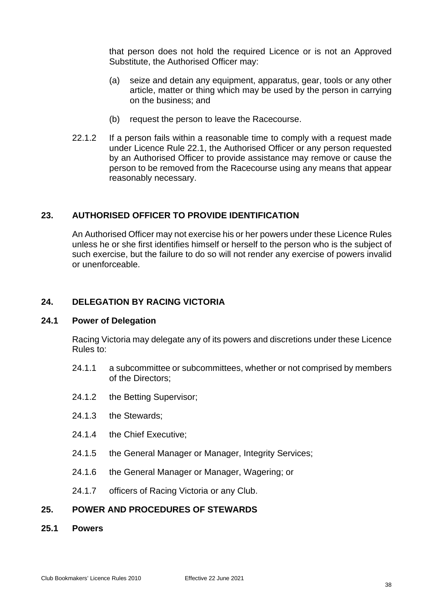that person does not hold the required Licence or is not an Approved Substitute, the Authorised Officer may:

- (a) seize and detain any equipment, apparatus, gear, tools or any other article, matter or thing which may be used by the person in carrying on the business; and
- (b) request the person to leave the Racecourse.
- 22.1.2 If a person fails within a reasonable time to comply with a request made under Licence Rule [22.1,](#page-41-3) the Authorised Officer or any person requested by an Authorised Officer to provide assistance may remove or cause the person to be removed from the Racecourse using any means that appear reasonably necessary.

## <span id="page-42-0"></span>**23. AUTHORISED OFFICER TO PROVIDE IDENTIFICATION**

An Authorised Officer may not exercise his or her powers under these Licence Rules unless he or she first identifies himself or herself to the person who is the subject of such exercise, but the failure to do so will not render any exercise of powers invalid or unenforceable.

## <span id="page-42-1"></span>**24. DELEGATION BY RACING VICTORIA**

#### <span id="page-42-2"></span>**24.1 Power of Delegation**

Racing Victoria may delegate any of its powers and discretions under these Licence Rules to:

- 24.1.1 a subcommittee or subcommittees, whether or not comprised by members of the Directors;
- 24.1.2 the Betting Supervisor;
- 24.1.3 the Stewards;
- 24.1.4 the Chief Executive;
- 24.1.5 the General Manager or Manager, Integrity Services;
- 24.1.6 the General Manager or Manager, Wagering; or
- 24.1.7 officers of Racing Victoria or any Club.

## <span id="page-42-3"></span>**25. POWER AND PROCEDURES OF STEWARDS**

<span id="page-42-4"></span>**25.1 Powers**